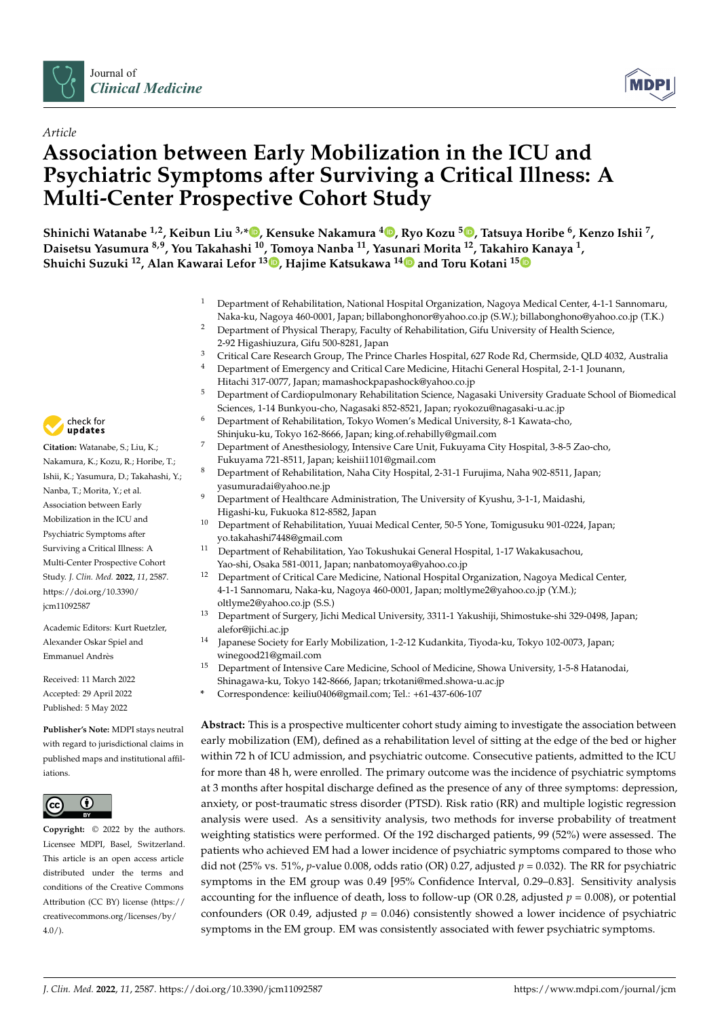



# *Article* **Association between Early Mobilization in the ICU and Psychiatric Symptoms after Surviving a Critical Illness: A Multi-Center Prospective Cohort Study**

**Shinichi Watanabe 1,2, Keibun Liu 3,\* [,](https://orcid.org/0000-0002-6867-1420) Kensuke Nakamura <sup>4</sup> [,](https://orcid.org/0000-0001-8481-0294) Ryo Kozu [5](https://orcid.org/0000-0002-9310-185X) , Tatsuya Horibe <sup>6</sup> , Kenzo Ishii <sup>7</sup> , Daisetsu Yasumura 8,9, You Takahashi <sup>10</sup>, Tomoya Nanba <sup>11</sup>, Yasu[nar](https://orcid.org/0000-0003-2582-4324)i Morita <sup>12</sup>, Takahi[ro K](https://orcid.org/0000-0001-9504-0061)anaya <sup>1</sup> , Shuichi Suzuki <sup>12</sup>, Alan Kawarai Lefor <sup>13</sup> [,](https://orcid.org/0000-0001-6673-5630) Hajime Katsukawa <sup>14</sup> and Toru Kotani <sup>15</sup>**

- <sup>1</sup> Department of Rehabilitation, National Hospital Organization, Nagoya Medical Center, 4-1-1 Sannomaru, Naka-ku, Nagoya 460-0001, Japan; billabonghonor@yahoo.co.jp (S.W.); billabonghono@yahoo.co.jp (T.K.)
- <sup>2</sup> Department of Physical Therapy, Faculty of Rehabilitation, Gifu University of Health Science, 2-92 Higashiuzura, Gifu 500-8281, Japan
- <sup>3</sup> Critical Care Research Group, The Prince Charles Hospital, 627 Rode Rd, Chermside, QLD 4032, Australia<br><sup>4</sup> Department of Emergency and Critical Care Medicine, Hitachi Ceneral Hospital, 2.1.1 Journal
- <sup>4</sup> Department of Emergency and Critical Care Medicine, Hitachi General Hospital, 2-1-1 Jounann, Hitachi 317-0077, Japan; mamashockpapashock@yahoo.co.jp
- <sup>5</sup> Department of Cardiopulmonary Rehabilitation Science, Nagasaki University Graduate School of Biomedical Sciences, 1-14 Bunkyou-cho, Nagasaki 852-8521, Japan; ryokozu@nagasaki-u.ac.jp
- <sup>6</sup> Department of Rehabilitation, Tokyo Women's Medical University, 8-1 Kawata-cho,
- Shinjuku-ku, Tokyo 162-8666, Japan; king.of.rehabilly@gmail.com
- <sup>7</sup> Department of Anesthesiology, Intensive Care Unit, Fukuyama City Hospital, 3-8-5 Zao-cho, Fukuyama 721-8511, Japan; keishii1101@gmail.com
- <sup>8</sup> Department of Rehabilitation, Naha City Hospital, 2-31-1 Furujima, Naha 902-8511, Japan; yasumuradai@yahoo.ne.jp
- <sup>9</sup> Department of Healthcare Administration, The University of Kyushu, 3-1-1, Maidashi, Higashi-ku, Fukuoka 812-8582, Japan
- <sup>10</sup> Department of Rehabilitation, Yuuai Medical Center, 50-5 Yone, Tomigusuku 901-0224, Japan; yo.takahashi7448@gmail.com
- <sup>11</sup> Department of Rehabilitation, Yao Tokushukai General Hospital, 1-17 Wakakusachou, Yao-shi, Osaka 581-0011, Japan; nanbatomoya@yahoo.co.jp
- <sup>12</sup> Department of Critical Care Medicine, National Hospital Organization, Nagoya Medical Center, 4-1-1 Sannomaru, Naka-ku, Nagoya 460-0001, Japan; moltlyme2@yahoo.co.jp (Y.M.); oltlyme2@yahoo.co.jp (S.S.)
- <sup>13</sup> Department of Surgery, Jichi Medical University, 3311-1 Yakushiji, Shimostuke-shi 329-0498, Japan; alefor@jichi.ac.jp
- <sup>14</sup> Japanese Society for Early Mobilization, 1-2-12 Kudankita, Tiyoda-ku, Tokyo 102-0073, Japan; winegood21@gmail.com
- <sup>15</sup> Department of Intensive Care Medicine, School of Medicine, Showa University, 1-5-8 Hatanodai, Shinagawa-ku, Tokyo 142-8666, Japan; trkotani@med.showa-u.ac.jp
- **\*** Correspondence: keiliu0406@gmail.com; Tel.: +61-437-606-107

**Abstract:** This is a prospective multicenter cohort study aiming to investigate the association between early mobilization (EM), defined as a rehabilitation level of sitting at the edge of the bed or higher within 72 h of ICU admission, and psychiatric outcome. Consecutive patients, admitted to the ICU for more than 48 h, were enrolled. The primary outcome was the incidence of psychiatric symptoms at 3 months after hospital discharge defined as the presence of any of three symptoms: depression, anxiety, or post-traumatic stress disorder (PTSD). Risk ratio (RR) and multiple logistic regression analysis were used. As a sensitivity analysis, two methods for inverse probability of treatment weighting statistics were performed. Of the 192 discharged patients, 99 (52%) were assessed. The patients who achieved EM had a lower incidence of psychiatric symptoms compared to those who did not (25% vs. 51%, *p*-value 0.008, odds ratio (OR) 0.27, adjusted  $p = 0.032$ ). The RR for psychiatric symptoms in the EM group was 0.49 [95% Confidence Interval, 0.29–0.83]. Sensitivity analysis accounting for the influence of death, loss to follow-up (OR 0.28, adjusted  $p = 0.008$ ), or potential confounders (OR 0.49, adjusted  $p = 0.046$ ) consistently showed a lower incidence of psychiatric symptoms in the EM group. EM was consistently associated with fewer psychiatric symptoms.



**Citation:** Watanabe, S.; Liu, K.; Nakamura, K.; Kozu, R.; Horibe, T.; Ishii, K.; Yasumura, D.; Takahashi, Y.; Nanba, T.; Morita, Y.; et al. Association between Early Mobilization in the ICU and Psychiatric Symptoms after Surviving a Critical Illness: A Multi-Center Prospective Cohort Study. *J. Clin. Med.* **2022**, *11*, 2587. [https://doi.org/10.3390/](https://doi.org/10.3390/jcm11092587) [jcm11092587](https://doi.org/10.3390/jcm11092587)

Academic Editors: Kurt Ruetzler, Alexander Oskar Spiel and Emmanuel Andrès

Received: 11 March 2022 Accepted: 29 April 2022 Published: 5 May 2022

**Publisher's Note:** MDPI stays neutral with regard to jurisdictional claims in published maps and institutional affiliations.



**Copyright:** © 2022 by the authors. Licensee MDPI, Basel, Switzerland. This article is an open access article distributed under the terms and conditions of the Creative Commons Attribution (CC BY) license [\(https://](https://creativecommons.org/licenses/by/4.0/) [creativecommons.org/licenses/by/](https://creativecommons.org/licenses/by/4.0/)  $4.0/$ ).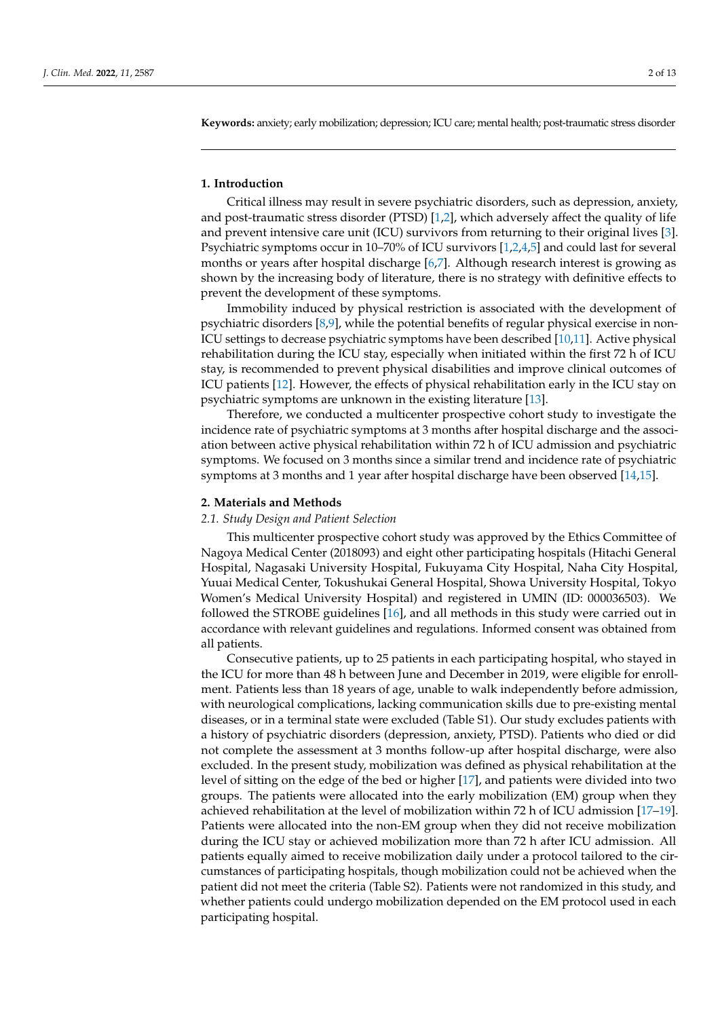**Keywords:** anxiety; early mobilization; depression; ICU care; mental health; post-traumatic stress disorder

#### **1. Introduction**

Critical illness may result in severe psychiatric disorders, such as depression, anxiety, and post-traumatic stress disorder (PTSD) [\[1,](#page-10-0)[2\]](#page-10-1), which adversely affect the quality of life and prevent intensive care unit (ICU) survivors from returning to their original lives [\[3\]](#page-10-2). Psychiatric symptoms occur in 10–70% of ICU survivors [\[1](#page-10-0)[,2](#page-10-1)[,4](#page-10-3)[,5\]](#page-10-4) and could last for several months or years after hospital discharge [\[6,](#page-10-5)[7\]](#page-10-6). Although research interest is growing as shown by the increasing body of literature, there is no strategy with definitive effects to prevent the development of these symptoms.

Immobility induced by physical restriction is associated with the development of psychiatric disorders [\[8,](#page-10-7)[9\]](#page-10-8), while the potential benefits of regular physical exercise in non-ICU settings to decrease psychiatric symptoms have been described [\[10](#page-10-9)[,11\]](#page-10-10). Active physical rehabilitation during the ICU stay, especially when initiated within the first 72 h of ICU stay, is recommended to prevent physical disabilities and improve clinical outcomes of ICU patients [\[12\]](#page-10-11). However, the effects of physical rehabilitation early in the ICU stay on psychiatric symptoms are unknown in the existing literature [\[13\]](#page-10-12).

Therefore, we conducted a multicenter prospective cohort study to investigate the incidence rate of psychiatric symptoms at 3 months after hospital discharge and the association between active physical rehabilitation within 72 h of ICU admission and psychiatric symptoms. We focused on 3 months since a similar trend and incidence rate of psychiatric symptoms at 3 months and 1 year after hospital discharge have been observed [\[14,](#page-10-13)[15\]](#page-10-14).

#### **2. Materials and Methods**

#### *2.1. Study Design and Patient Selection*

This multicenter prospective cohort study was approved by the Ethics Committee of Nagoya Medical Center (2018093) and eight other participating hospitals (Hitachi General Hospital, Nagasaki University Hospital, Fukuyama City Hospital, Naha City Hospital, Yuuai Medical Center, Tokushukai General Hospital, Showa University Hospital, Tokyo Women's Medical University Hospital) and registered in UMIN (ID: 000036503). We followed the STROBE guidelines [\[16\]](#page-10-15), and all methods in this study were carried out in accordance with relevant guidelines and regulations. Informed consent was obtained from all patients.

Consecutive patients, up to 25 patients in each participating hospital, who stayed in the ICU for more than 48 h between June and December in 2019, were eligible for enrollment. Patients less than 18 years of age, unable to walk independently before admission, with neurological complications, lacking communication skills due to pre-existing mental diseases, or in a terminal state were excluded (Table S1). Our study excludes patients with a history of psychiatric disorders (depression, anxiety, PTSD). Patients who died or did not complete the assessment at 3 months follow-up after hospital discharge, were also excluded. In the present study, mobilization was defined as physical rehabilitation at the level of sitting on the edge of the bed or higher [\[17\]](#page-10-16), and patients were divided into two groups. The patients were allocated into the early mobilization (EM) group when they achieved rehabilitation at the level of mobilization within 72 h of ICU admission [\[17](#page-10-16)[–19\]](#page-10-17). Patients were allocated into the non-EM group when they did not receive mobilization during the ICU stay or achieved mobilization more than 72 h after ICU admission. All patients equally aimed to receive mobilization daily under a protocol tailored to the circumstances of participating hospitals, though mobilization could not be achieved when the patient did not meet the criteria (Table S2). Patients were not randomized in this study, and whether patients could undergo mobilization depended on the EM protocol used in each participating hospital.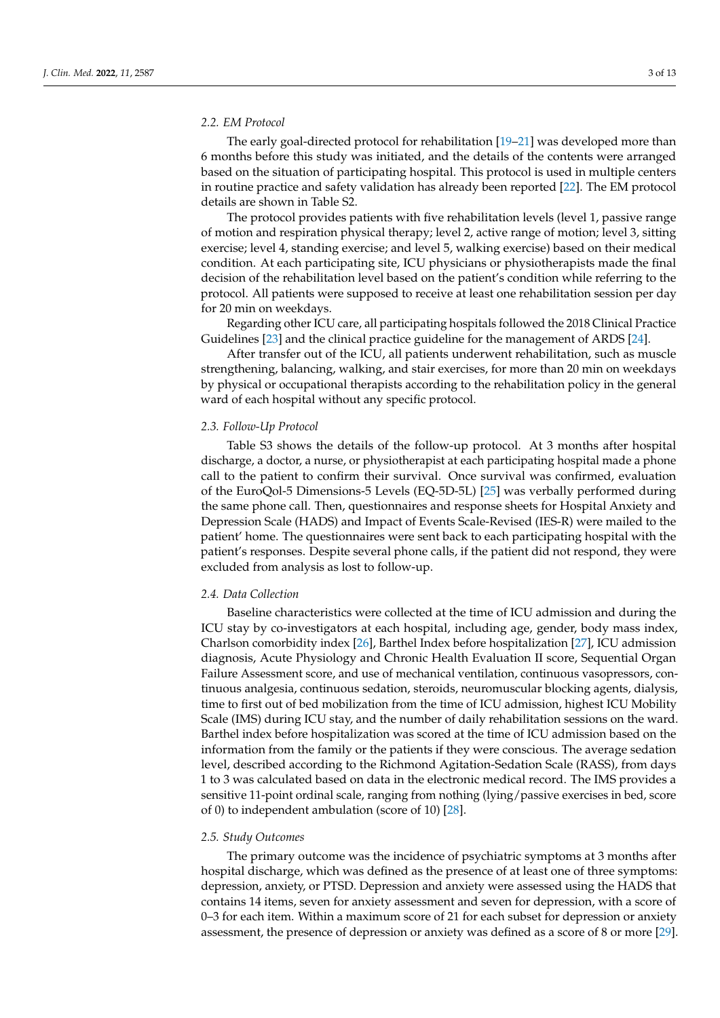#### *2.2. EM Protocol*

The early goal-directed protocol for rehabilitation [\[19](#page-10-17)[–21\]](#page-11-0) was developed more than 6 months before this study was initiated, and the details of the contents were arranged based on the situation of participating hospital. This protocol is used in multiple centers in routine practice and safety validation has already been reported [\[22\]](#page-11-1). The EM protocol details are shown in Table S2.

The protocol provides patients with five rehabilitation levels (level 1, passive range of motion and respiration physical therapy; level 2, active range of motion; level 3, sitting exercise; level 4, standing exercise; and level 5, walking exercise) based on their medical condition. At each participating site, ICU physicians or physiotherapists made the final decision of the rehabilitation level based on the patient's condition while referring to the protocol. All patients were supposed to receive at least one rehabilitation session per day for 20 min on weekdays.

Regarding other ICU care, all participating hospitals followed the 2018 Clinical Practice Guidelines [\[23\]](#page-11-2) and the clinical practice guideline for the management of ARDS [\[24\]](#page-11-3).

After transfer out of the ICU, all patients underwent rehabilitation, such as muscle strengthening, balancing, walking, and stair exercises, for more than 20 min on weekdays by physical or occupational therapists according to the rehabilitation policy in the general ward of each hospital without any specific protocol.

#### *2.3. Follow-Up Protocol*

Table S3 shows the details of the follow-up protocol. At 3 months after hospital discharge, a doctor, a nurse, or physiotherapist at each participating hospital made a phone call to the patient to confirm their survival. Once survival was confirmed, evaluation of the EuroQol-5 Dimensions-5 Levels (EQ-5D-5L) [\[25\]](#page-11-4) was verbally performed during the same phone call. Then, questionnaires and response sheets for Hospital Anxiety and Depression Scale (HADS) and Impact of Events Scale-Revised (IES-R) were mailed to the patient' home. The questionnaires were sent back to each participating hospital with the patient's responses. Despite several phone calls, if the patient did not respond, they were excluded from analysis as lost to follow-up.

#### *2.4. Data Collection*

Baseline characteristics were collected at the time of ICU admission and during the ICU stay by co-investigators at each hospital, including age, gender, body mass index, Charlson comorbidity index [\[26\]](#page-11-5), Barthel Index before hospitalization [\[27\]](#page-11-6), ICU admission diagnosis, Acute Physiology and Chronic Health Evaluation II score, Sequential Organ Failure Assessment score, and use of mechanical ventilation, continuous vasopressors, continuous analgesia, continuous sedation, steroids, neuromuscular blocking agents, dialysis, time to first out of bed mobilization from the time of ICU admission, highest ICU Mobility Scale (IMS) during ICU stay, and the number of daily rehabilitation sessions on the ward. Barthel index before hospitalization was scored at the time of ICU admission based on the information from the family or the patients if they were conscious. The average sedation level, described according to the Richmond Agitation-Sedation Scale (RASS), from days 1 to 3 was calculated based on data in the electronic medical record. The IMS provides a sensitive 11-point ordinal scale, ranging from nothing (lying/passive exercises in bed, score of 0) to independent ambulation (score of 10) [\[28\]](#page-11-7).

#### *2.5. Study Outcomes*

The primary outcome was the incidence of psychiatric symptoms at 3 months after hospital discharge, which was defined as the presence of at least one of three symptoms: depression, anxiety, or PTSD. Depression and anxiety were assessed using the HADS that contains 14 items, seven for anxiety assessment and seven for depression, with a score of 0–3 for each item. Within a maximum score of 21 for each subset for depression or anxiety assessment, the presence of depression or anxiety was defined as a score of 8 or more [\[29\]](#page-11-8).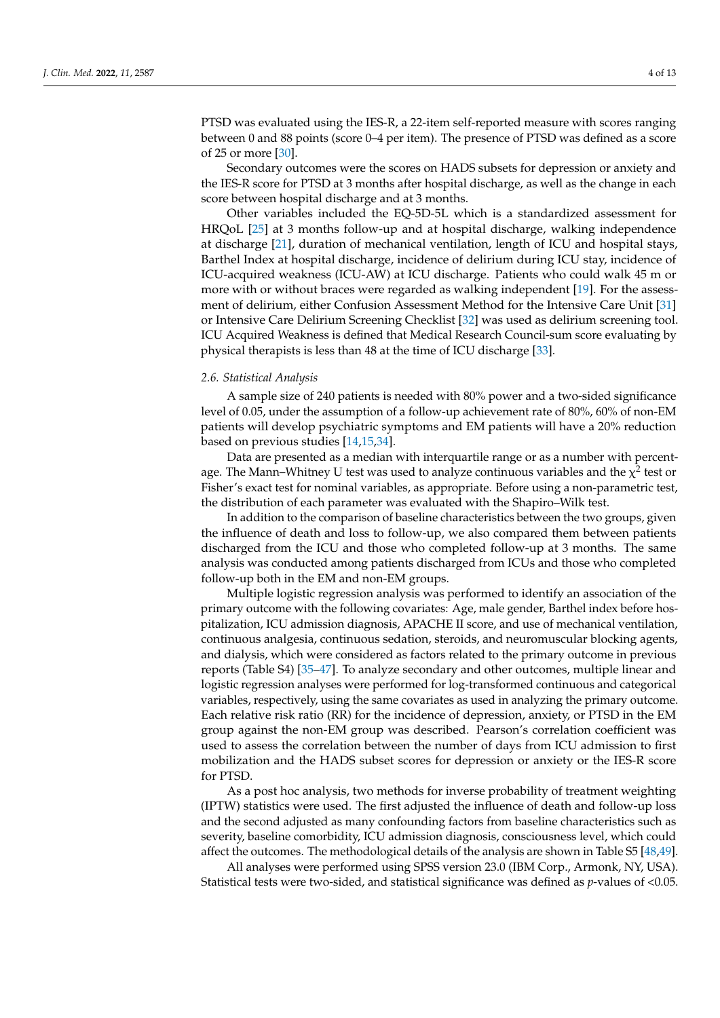PTSD was evaluated using the IES-R, a 22-item self-reported measure with scores ranging between 0 and 88 points (score 0–4 per item). The presence of PTSD was defined as a score of 25 or more [\[30\]](#page-11-9).

Secondary outcomes were the scores on HADS subsets for depression or anxiety and the IES-R score for PTSD at 3 months after hospital discharge, as well as the change in each score between hospital discharge and at 3 months.

Other variables included the EQ-5D-5L which is a standardized assessment for HRQoL [\[25\]](#page-11-4) at 3 months follow-up and at hospital discharge, walking independence at discharge [\[21\]](#page-11-0), duration of mechanical ventilation, length of ICU and hospital stays, Barthel Index at hospital discharge, incidence of delirium during ICU stay, incidence of ICU-acquired weakness (ICU-AW) at ICU discharge. Patients who could walk 45 m or more with or without braces were regarded as walking independent [\[19\]](#page-10-17). For the assessment of delirium, either Confusion Assessment Method for the Intensive Care Unit [\[31\]](#page-11-10) or Intensive Care Delirium Screening Checklist [\[32\]](#page-11-11) was used as delirium screening tool. ICU Acquired Weakness is defined that Medical Research Council-sum score evaluating by physical therapists is less than 48 at the time of ICU discharge [\[33\]](#page-11-12).

#### *2.6. Statistical Analysis*

A sample size of 240 patients is needed with 80% power and a two-sided significance level of 0.05, under the assumption of a follow-up achievement rate of 80%, 60% of non-EM patients will develop psychiatric symptoms and EM patients will have a 20% reduction based on previous studies [\[14,](#page-10-13)[15,](#page-10-14)[34\]](#page-11-13).

Data are presented as a median with interquartile range or as a number with percentage. The Mann–Whitney U test was used to analyze continuous variables and the  $\chi^2$  test or Fisher's exact test for nominal variables, as appropriate. Before using a non-parametric test, the distribution of each parameter was evaluated with the Shapiro–Wilk test.

In addition to the comparison of baseline characteristics between the two groups, given the influence of death and loss to follow-up, we also compared them between patients discharged from the ICU and those who completed follow-up at 3 months. The same analysis was conducted among patients discharged from ICUs and those who completed follow-up both in the EM and non-EM groups.

Multiple logistic regression analysis was performed to identify an association of the primary outcome with the following covariates: Age, male gender, Barthel index before hospitalization, ICU admission diagnosis, APACHE II score, and use of mechanical ventilation, continuous analgesia, continuous sedation, steroids, and neuromuscular blocking agents, and dialysis, which were considered as factors related to the primary outcome in previous reports (Table S4) [\[35](#page-11-14)[–47\]](#page-12-0). To analyze secondary and other outcomes, multiple linear and logistic regression analyses were performed for log-transformed continuous and categorical variables, respectively, using the same covariates as used in analyzing the primary outcome. Each relative risk ratio (RR) for the incidence of depression, anxiety, or PTSD in the EM group against the non-EM group was described. Pearson's correlation coefficient was used to assess the correlation between the number of days from ICU admission to first mobilization and the HADS subset scores for depression or anxiety or the IES-R score for PTSD.

As a post hoc analysis, two methods for inverse probability of treatment weighting (IPTW) statistics were used. The first adjusted the influence of death and follow-up loss and the second adjusted as many confounding factors from baseline characteristics such as severity, baseline comorbidity, ICU admission diagnosis, consciousness level, which could affect the outcomes. The methodological details of the analysis are shown in Table S5 [\[48](#page-12-1)[,49\]](#page-12-2).

All analyses were performed using SPSS version 23.0 (IBM Corp., Armonk, NY, USA). Statistical tests were two-sided, and statistical significance was defined as *p*-values of <0.05.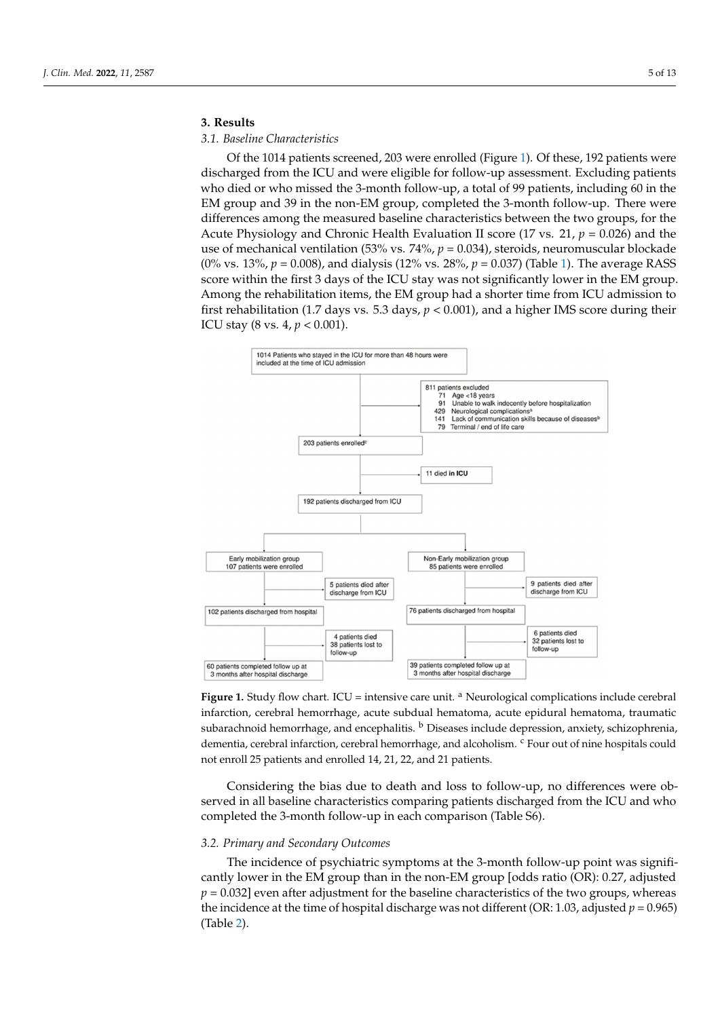# **3. Results 3. Results**

 $\overline{\phantom{0}}$ 

## *3.1. Baseline Characteristics 3.1. Baseline Characteristics*

Of the 1014 patients screened, 203 were enrolled (Figure [1\)](#page-4-0). Of these, 192 patients were discharged from the ICU and were eligible for follow-up assessment. Excluding patients who died or who missed the 3-month follow-up, a total of 99 patients, including 60 in the EM group and 39 in the non-EM group, completed the 3-month follow-up. There were differences among the measured baseline characteristics between the two groups, for the Acute Physiology and Chronic Health Evaluation II score (17 vs. 21,  $p = 0.026$ ) and the use of mechanical ventilation (53% vs. 74%,  $p = 0.034$ ), steroids, neuromuscular blockade (0% vs. 13%, *p* = 0.008), and dialysis (12% vs. 28%, *p* = 0.037) (Table [1\)](#page-5-0). The average RASS score within the first 3 days of the ICU stay was not significantly lower in the EM group. Among the rehabilitation items, the EM group had a shorter time from ICU admission to first rehabilitation (1.7 days vs. 5.3 days,  $p < 0.001$ ), and a higher IMS score during their ICU stay (8 vs. 4, *p* < 0.001). their ICU stay (8 vs. 4, *p* < 0.001).

<span id="page-4-0"></span>

Figure 1. Study flow chart. ICU = intensive care unit. <sup>a</sup> Neurological complications include cerebral infarction, cerebral hemorrhage, acute subdual hematoma, acute epidural hematoma, traumatic infarction, cerebral hemorrhage, acute subdual hematoma, acute epidural hematoma, traumatic subarachnoid hemorrhage, and encephalitis. <sup>b</sup> Diseases include depression, anxiety, schizophrenia, dementia, cerebral infarction, cerebral hemorrhage, and alcoholism. <sup>c</sup> Four out of nine hospitals could not enroll 25 patients and enrolled 14, 21, 22, and 21 patients.

Considering the bias due to death and loss to follow-up, no differences were observed in all baseline characteristics comparing patients discharged from the ICU and who completed the 3-month follow-up in each comparison (Table S6).

#### *3.2. Primary and Secondary Outcomes*

The incidence of psychiatric symptoms at the 3-month follow-up point was significantly lower in the EM group than in the non-EM group [odds ratio (OR): 0.27, adjusted  $p = 0.032$ ] even after adjustment for the baseline characteristics of the two groups, whereas the incidence at the time of hospital discharge was not different (OR: 1.03, adjusted  $p = 0.965$ ) (Table [2\)](#page-6-0).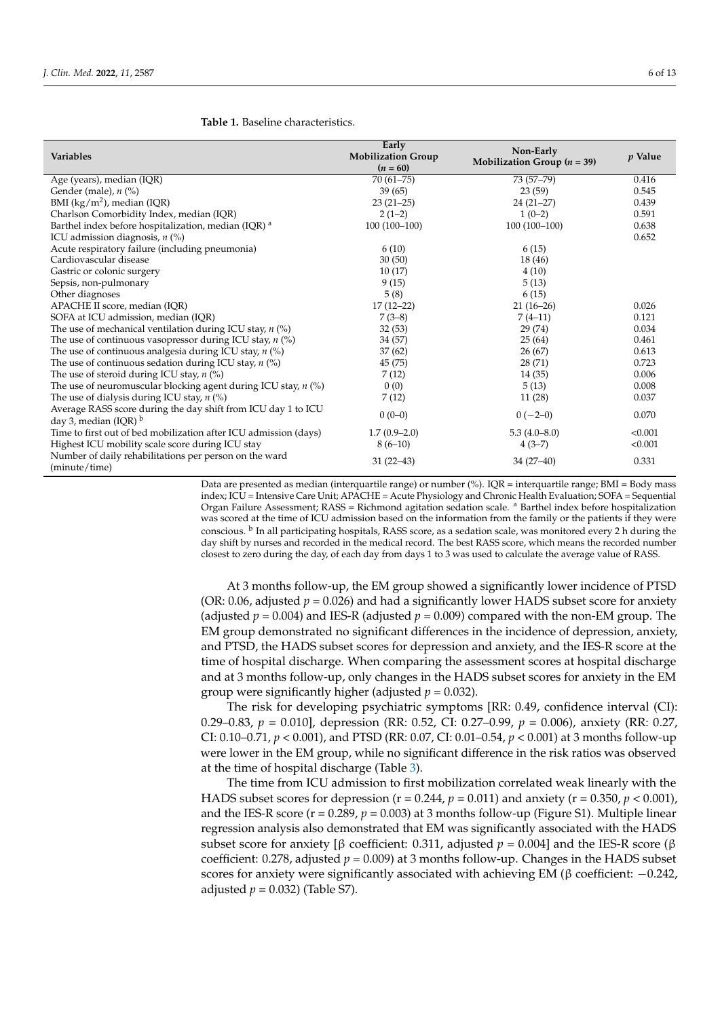#### <span id="page-5-0"></span>**Table 1.** Baseline characteristics.

| <b>Variables</b>                                                                       | Early<br><b>Mobilization Group</b><br>$(n = 60)$ | Non-Early<br>Mobilization Group $(n = 39)$ | $p$ Value |
|----------------------------------------------------------------------------------------|--------------------------------------------------|--------------------------------------------|-----------|
| Age (years), median (IQR)                                                              | $70(61 - 75)$                                    | $73(57-79)$                                | 0.416     |
| Gender (male), $n$ (%)                                                                 | 39(65)                                           | 23(59)                                     | 0.545     |
| BMI ( $\text{kg/m}^2$ ), median (IQR)                                                  | $23(21-25)$                                      | $24(21-27)$                                | 0.439     |
| Charlson Comorbidity Index, median (IQR)                                               | $2(1-2)$                                         | $1(0-2)$                                   | 0.591     |
| Barthel index before hospitalization, median (IQR) <sup>a</sup>                        | $100(100-100)$                                   | $100(100-100)$                             | 0.638     |
| ICU admission diagnosis, $n$ (%)                                                       |                                                  |                                            | 0.652     |
| Acute respiratory failure (including pneumonia)                                        | 6(10)                                            | 6(15)                                      |           |
| Cardiovascular disease                                                                 | 30(50)                                           | 18 (46)                                    |           |
| Gastric or colonic surgery                                                             | 10(17)                                           | 4(10)                                      |           |
| Sepsis, non-pulmonary                                                                  | 9(15)                                            | 5(13)                                      |           |
| Other diagnoses                                                                        | 5(8)                                             | 6(15)                                      |           |
| APACHE II score, median (IQR)                                                          | $17(12-22)$                                      | $21(16-26)$                                | 0.026     |
| SOFA at ICU admission, median (IQR)                                                    | $7(3-8)$                                         | $7(4-11)$                                  | 0.121     |
| The use of mechanical ventilation during ICU stay, $n$ (%)                             | 32(53)                                           | 29 (74)                                    | 0.034     |
| The use of continuous vasopressor during ICU stay, $n$ (%)                             | 34 (57)                                          | 25(64)                                     | 0.461     |
| The use of continuous analgesia during ICU stay, $n$ (%)                               | 37(62)                                           | 26(67)                                     | 0.613     |
| The use of continuous sedation during ICU stay, $n$ (%)                                | 45 (75)                                          | 28 (71)                                    | 0.723     |
| The use of steroid during ICU stay, $n$ (%)                                            | 7(12)                                            | 14(35)                                     | 0.006     |
| The use of neuromuscular blocking agent during ICU stay, $n$ (%)                       | 0(0)                                             | 5(13)                                      | 0.008     |
| The use of dialysis during ICU stay, $n$ (%)                                           | 7(12)                                            | 11(28)                                     | 0.037     |
| Average RASS score during the day shift from ICU day 1 to ICU<br>day 3, median (IQR) b | $0(0-0)$                                         | $0(-2-0)$                                  | 0.070     |
| Time to first out of bed mobilization after ICU admission (days)                       | $1.7(0.9-2.0)$                                   | $5.3(4.0-8.0)$                             | < 0.001   |
| Highest ICU mobility scale score during ICU stay                                       | $8(6-10)$                                        | $4(3-7)$                                   | < 0.001   |
| Number of daily rehabilitations per person on the ward<br>(minute/time)                | $31(22-43)$                                      | $34(27-40)$                                | 0.331     |

Data are presented as median (interquartile range) or number (%). IQR = interquartile range; BMI = Body mass index; ICU = Intensive Care Unit; APACHE = Acute Physiology and Chronic Health Evaluation; SOFA = Sequential Organ Failure Assessment; RASS = Richmond agitation sedation scale. <sup>a</sup> Barthel index before hospitalization was scored at the time of ICU admission based on the information from the family or the patients if they were conscious. <sup>b</sup> In all participating hospitals, RASS score, as a sedation scale, was monitored every 2 h during the day shift by nurses and recorded in the medical record. The best RASS score, which means the recorded number closest to zero during the day, of each day from days 1 to 3 was used to calculate the average value of RASS.

At 3 months follow-up, the EM group showed a significantly lower incidence of PTSD (OR: 0.06, adjusted  $p = 0.026$ ) and had a significantly lower HADS subset score for anxiety (adjusted  $p = 0.004$ ) and IES-R (adjusted  $p = 0.009$ ) compared with the non-EM group. The EM group demonstrated no significant differences in the incidence of depression, anxiety, and PTSD, the HADS subset scores for depression and anxiety, and the IES-R score at the time of hospital discharge. When comparing the assessment scores at hospital discharge and at 3 months follow-up, only changes in the HADS subset scores for anxiety in the EM group were significantly higher (adjusted  $p = 0.032$ ).

The risk for developing psychiatric symptoms [RR: 0.49, confidence interval (CI): 0.29–0.83, *p* = 0.010], depression (RR: 0.52, CI: 0.27–0.99, *p* = 0.006), anxiety (RR: 0.27, CI: 0.10–0.71, *p* < 0.001), and PTSD (RR: 0.07, CI: 0.01–0.54, *p* < 0.001) at 3 months follow-up were lower in the EM group, while no significant difference in the risk ratios was observed at the time of hospital discharge (Table [3\)](#page-6-1).

The time from ICU admission to first mobilization correlated weak linearly with the HADS subset scores for depression ( $r = 0.244$ ,  $p = 0.011$ ) and anxiety ( $r = 0.350$ ,  $p < 0.001$ ), and the IES-R score ( $r = 0.289$ ,  $p = 0.003$ ) at 3 months follow-up (Figure S1). Multiple linear regression analysis also demonstrated that EM was significantly associated with the HADS subset score for anxiety [β coefficient: 0.311, adjusted  $p = 0.004$ ] and the IES-R score (β coefficient: 0.278, adjusted *p* = 0.009) at 3 months follow-up. Changes in the HADS subset scores for anxiety were significantly associated with achieving EM ( $\beta$  coefficient:  $-0.242$ , adjusted  $p = 0.032$ ) (Table S7).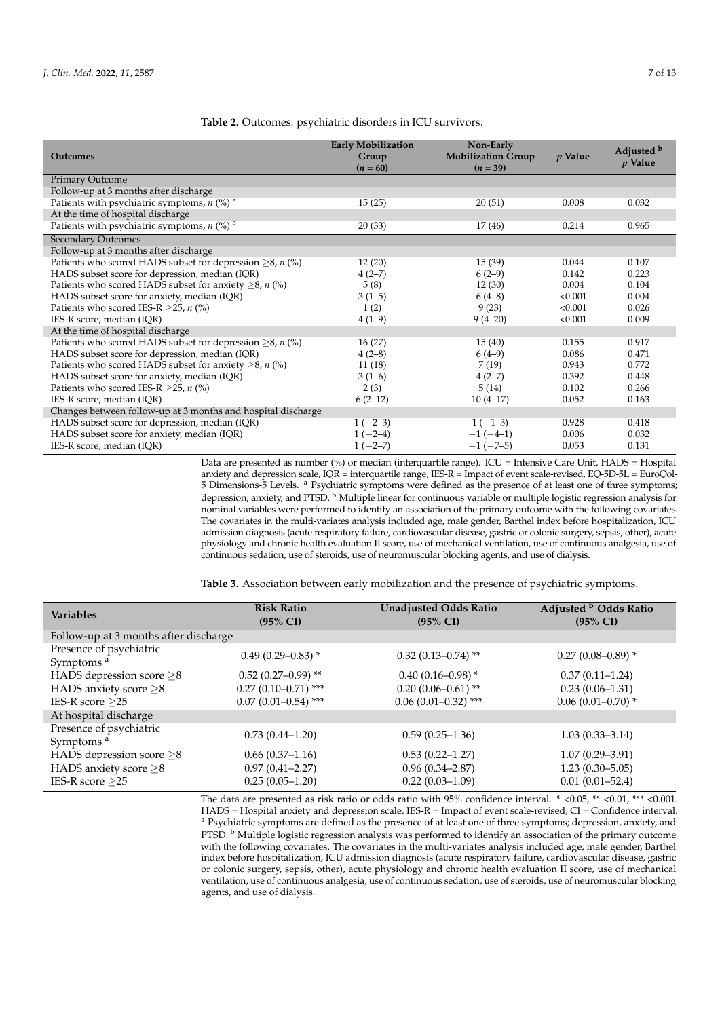| <b>Outcomes</b>                                                     | <b>Early Mobilization</b><br>Group | Non-Early<br><b>Mobilization Group</b> | $p$ Value | Adjusted b |
|---------------------------------------------------------------------|------------------------------------|----------------------------------------|-----------|------------|
|                                                                     | $(n = 60)$                         | $(n = 39)$                             |           | $p$ Value  |
| <b>Primary Outcome</b>                                              |                                    |                                        |           |            |
| Follow-up at 3 months after discharge                               |                                    |                                        |           |            |
| Patients with psychiatric symptoms, $n$ (%) <sup>a</sup>            | 15(25)                             | 20(51)                                 | 0.008     | 0.032      |
| At the time of hospital discharge                                   |                                    |                                        |           |            |
| Patients with psychiatric symptoms, $n$ (%) <sup>a</sup>            | 20(33)                             | 17(46)                                 | 0.214     | 0.965      |
| <b>Secondary Outcomes</b>                                           |                                    |                                        |           |            |
| Follow-up at 3 months after discharge                               |                                    |                                        |           |            |
| Patients who scored HADS subset for depression $\geq$ 8, n (%)      | 12(20)                             | 15(39)                                 | 0.044     | 0.107      |
| HADS subset score for depression, median (IQR)                      | $4(2-7)$                           | $6(2-9)$                               | 0.142     | 0.223      |
| Patients who scored HADS subset for anxiety $\geq 8$ , <i>n</i> (%) | 5(8)                               | 12(30)                                 | 0.004     | 0.104      |
| HADS subset score for anxiety, median (IQR)                         | $3(1-5)$                           | $6(4-8)$                               | < 0.001   | 0.004      |
| Patients who scored IES-R $>$ 25, n (%)                             | 1(2)                               | 9(23)                                  | < 0.001   | 0.026      |
| IES-R score, median (IQR)                                           | $4(1-9)$                           | $9(4-20)$                              | < 0.001   | 0.009      |
| At the time of hospital discharge                                   |                                    |                                        |           |            |
| Patients who scored HADS subset for depression $\geq$ 8, n (%)      | 16(27)                             | 15(40)                                 | 0.155     | 0.917      |
| HADS subset score for depression, median (IQR)                      | $4(2-8)$                           | $6(4-9)$                               | 0.086     | 0.471      |
| Patients who scored HADS subset for anxiety $\geq$ 8, <i>n</i> (%)  | 11 (18)                            | 7(19)                                  | 0.943     | 0.772      |
| HADS subset score for anxiety, median (IQR)                         | $3(1-6)$                           | $4(2-7)$                               | 0.392     | 0.448      |
| Patients who scored IES-R $>$ 25, n (%)                             | 2(3)                               | 5(14)                                  | 0.102     | 0.266      |
| IES-R score, median (IQR)                                           | $6(2-12)$                          | $10(4-17)$                             | 0.052     | 0.163      |
| Changes between follow-up at 3 months and hospital discharge        |                                    |                                        |           |            |
| HADS subset score for depression, median (IQR)                      | $1(-2-3)$                          | $1(-1-3)$                              | 0.928     | 0.418      |
| HADS subset score for anxiety, median (IQR)                         | $1(-2-4)$                          | $-1(-4-1)$                             | 0.006     | 0.032      |
| IES-R score, median (IQR)                                           | $1(-2-7)$                          | $-1(-7-5)$                             | 0.053     | 0.131      |

<span id="page-6-0"></span>**Table 2.** Outcomes: psychiatric disorders in ICU survivors.

Data are presented as number (%) or median (interquartile range). ICU = Intensive Care Unit, HADS = Hospital anxiety and depression scale, IQR = interquartile range, IES-R = Impact of event scale-revised, EQ-5D-5L = EuroQol-5 Dimensions-5 Levels. <sup>a</sup> Psychiatric symptoms were defined as the presence of at least one of three symptoms; depression, anxiety, and PTSD. <sup>b</sup> Multiple linear for continuous variable or multiple logistic regression analysis for nominal variables were performed to identify an association of the primary outcome with the following covariates. The covariates in the multi-variates analysis included age, male gender, Barthel index before hospitalization, ICU admission diagnosis (acute respiratory failure, cardiovascular disease, gastric or colonic surgery, sepsis, other), acute physiology and chronic health evaluation II score, use of mechanical ventilation, use of continuous analgesia, use of continuous sedation, use of steroids, use of neuromuscular blocking agents, and use of dialysis.

<span id="page-6-1"></span>**Table 3.** Association between early mobilization and the presence of psychiatric symptoms.

The data are presented as risk ratio or odds ratio with 95% confidence interval. \* <0.05, \*\* <0.01, \*\*\* <0.001. HADS = Hospital anxiety and depression scale, IES-R = Impact of event scale-revised, CI = Confidence interval. <sup>a</sup> Psychiatric symptoms are defined as the presence of at least one of three symptoms; depression, anxiety, and PTSD. <sup>b</sup> Multiple logistic regression analysis was performed to identify an association of the primary outcome with the following covariates. The covariates in the multi-variates analysis included age, male gender, Barthel index before hospitalization, ICU admission diagnosis (acute respiratory failure, cardiovascular disease, gastric or colonic surgery, sepsis, other), acute physiology and chronic health evaluation II score, use of mechanical ventilation, use of continuous analgesia, use of continuous sedation, use of steroids, use of neuromuscular blocking agents, and use of dialysis.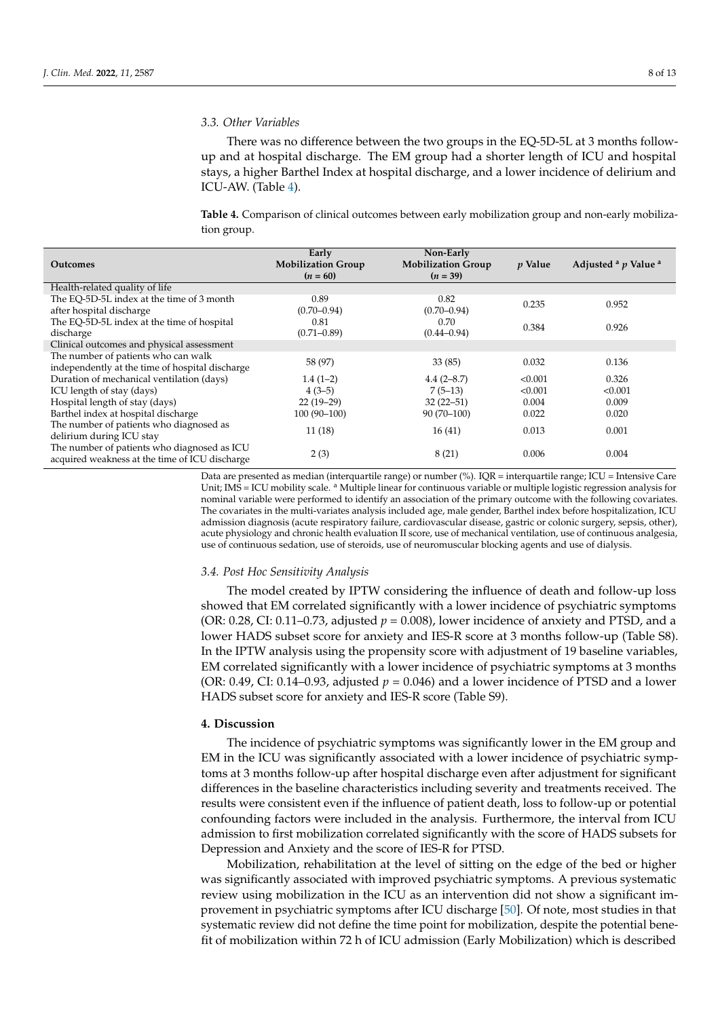#### *3.3. Other Variables*

There was no difference between the two groups in the EQ-5D-5L at 3 months followup and at hospital discharge. The EM group had a shorter length of ICU and hospital stays, a higher Barthel Index at hospital discharge, and a lower incidence of delirium and ICU-AW. (Table [4\)](#page-7-0).

<span id="page-7-0"></span>**Table 4.** Comparison of clinical outcomes between early mobilization group and non-early mobilization group.

| <b>Outcomes</b>                                 | Early<br><b>Mobilization Group</b><br>$(n = 60)$ | Non-Early<br><b>Mobilization Group</b><br>$(n = 39)$ | <i>p</i> Value | Adjusted $a$ $p$ Value $a$ |
|-------------------------------------------------|--------------------------------------------------|------------------------------------------------------|----------------|----------------------------|
| Health-related quality of life                  |                                                  |                                                      |                |                            |
| The EO-5D-5L index at the time of 3 month       | 0.89                                             | 0.82                                                 | 0.235          | 0.952                      |
| after hospital discharge                        | $(0.70 - 0.94)$                                  | $(0.70 - 0.94)$                                      |                |                            |
| The EQ-5D-5L index at the time of hospital      | 0.81                                             | 0.70                                                 | 0.384          | 0.926                      |
| discharge                                       | $(0.71 - 0.89)$                                  | $(0.44 - 0.94)$                                      |                |                            |
| Clinical outcomes and physical assessment       |                                                  |                                                      |                |                            |
| The number of patients who can walk             | 58 (97)                                          | 33(85)                                               | 0.032          | 0.136                      |
| independently at the time of hospital discharge |                                                  |                                                      |                |                            |
| Duration of mechanical ventilation (days)       | $1.4(1-2)$                                       | $4.4(2 - 8.7)$                                       | < 0.001        | 0.326                      |
| ICU length of stay (days)                       | $4(3-5)$                                         | $7(5-13)$                                            | < 0.001        | < 0.001                    |
| Hospital length of stay (days)                  | $22(19-29)$                                      | $32(22 - 51)$                                        | 0.004          | 0.009                      |
| Barthel index at hospital discharge             | $100(90-100)$                                    | $90(70-100)$                                         | 0.022          | 0.020                      |
| The number of patients who diagnosed as         |                                                  |                                                      |                |                            |
| delirium during ICU stay                        | 11(18)                                           | 16(41)                                               | 0.013          | 0.001                      |
| The number of patients who diagnosed as ICU     | 2(3)                                             | 8(21)                                                | 0.006          | 0.004                      |
| acquired weakness at the time of ICU discharge  |                                                  |                                                      |                |                            |

Data are presented as median (interquartile range) or number (%). IQR = interquartile range; ICU = Intensive Care Unit; IMS = ICU mobility scale. <sup>a</sup> Multiple linear for continuous variable or multiple logistic regression analysis for nominal variable were performed to identify an association of the primary outcome with the following covariates. The covariates in the multi-variates analysis included age, male gender, Barthel index before hospitalization, ICU admission diagnosis (acute respiratory failure, cardiovascular disease, gastric or colonic surgery, sepsis, other), acute physiology and chronic health evaluation II score, use of mechanical ventilation, use of continuous analgesia, use of continuous sedation, use of steroids, use of neuromuscular blocking agents and use of dialysis.

#### *3.4. Post Hoc Sensitivity Analysis*

The model created by IPTW considering the influence of death and follow-up loss showed that EM correlated significantly with a lower incidence of psychiatric symptoms (OR:  $0.28$ , CI:  $0.11$ – $0.73$ , adjusted  $p = 0.008$ ), lower incidence of anxiety and PTSD, and a lower HADS subset score for anxiety and IES-R score at 3 months follow-up (Table S8). In the IPTW analysis using the propensity score with adjustment of 19 baseline variables, EM correlated significantly with a lower incidence of psychiatric symptoms at 3 months (OR:  $0.49$ , CI:  $0.14 - 0.93$ , adjusted  $p = 0.046$ ) and a lower incidence of PTSD and a lower HADS subset score for anxiety and IES-R score (Table S9).

#### **4. Discussion**

The incidence of psychiatric symptoms was significantly lower in the EM group and EM in the ICU was significantly associated with a lower incidence of psychiatric symptoms at 3 months follow-up after hospital discharge even after adjustment for significant differences in the baseline characteristics including severity and treatments received. The results were consistent even if the influence of patient death, loss to follow-up or potential confounding factors were included in the analysis. Furthermore, the interval from ICU admission to first mobilization correlated significantly with the score of HADS subsets for Depression and Anxiety and the score of IES-R for PTSD.

Mobilization, rehabilitation at the level of sitting on the edge of the bed or higher was significantly associated with improved psychiatric symptoms. A previous systematic review using mobilization in the ICU as an intervention did not show a significant improvement in psychiatric symptoms after ICU discharge [\[50\]](#page-12-3). Of note, most studies in that systematic review did not define the time point for mobilization, despite the potential benefit of mobilization within 72 h of ICU admission (Early Mobilization) which is described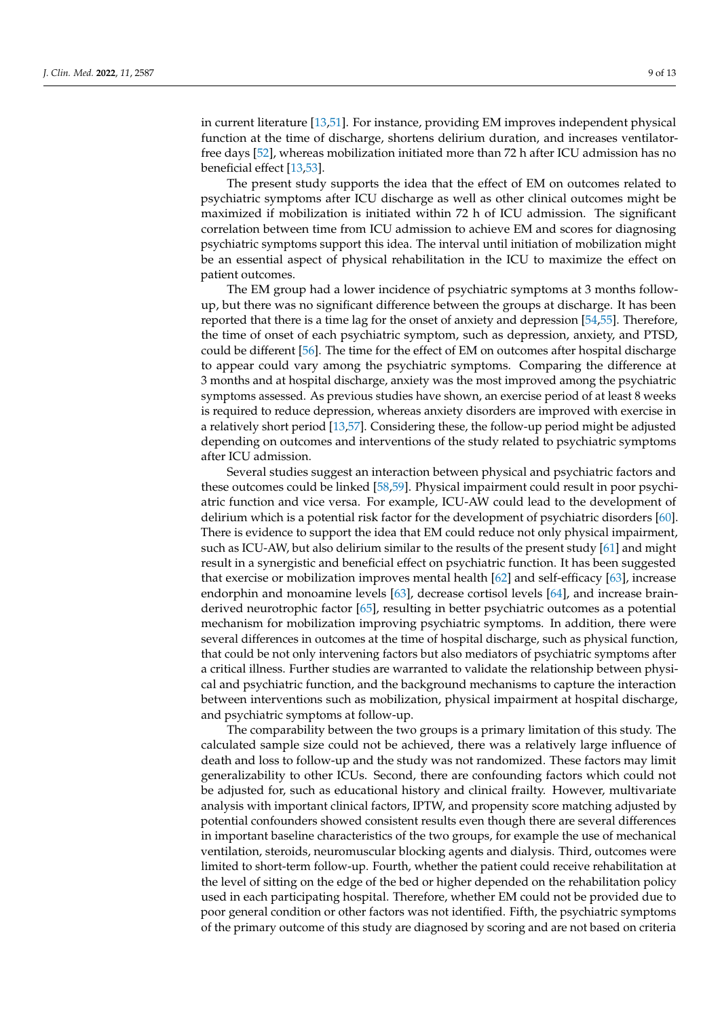in current literature [\[13,](#page-10-12)[51\]](#page-12-4). For instance, providing EM improves independent physical function at the time of discharge, shortens delirium duration, and increases ventilatorfree days [\[52\]](#page-12-5), whereas mobilization initiated more than 72 h after ICU admission has no beneficial effect [\[13](#page-10-12)[,53\]](#page-12-6).

The present study supports the idea that the effect of EM on outcomes related to psychiatric symptoms after ICU discharge as well as other clinical outcomes might be maximized if mobilization is initiated within 72 h of ICU admission. The significant correlation between time from ICU admission to achieve EM and scores for diagnosing psychiatric symptoms support this idea. The interval until initiation of mobilization might be an essential aspect of physical rehabilitation in the ICU to maximize the effect on patient outcomes.

The EM group had a lower incidence of psychiatric symptoms at 3 months followup, but there was no significant difference between the groups at discharge. It has been reported that there is a time lag for the onset of anxiety and depression [\[54,](#page-12-7)[55\]](#page-12-8). Therefore, the time of onset of each psychiatric symptom, such as depression, anxiety, and PTSD, could be different [\[56\]](#page-12-9). The time for the effect of EM on outcomes after hospital discharge to appear could vary among the psychiatric symptoms. Comparing the difference at 3 months and at hospital discharge, anxiety was the most improved among the psychiatric symptoms assessed. As previous studies have shown, an exercise period of at least 8 weeks is required to reduce depression, whereas anxiety disorders are improved with exercise in a relatively short period [\[13](#page-10-12)[,57\]](#page-12-10). Considering these, the follow-up period might be adjusted depending on outcomes and interventions of the study related to psychiatric symptoms after ICU admission.

Several studies suggest an interaction between physical and psychiatric factors and these outcomes could be linked [\[58](#page-12-11)[,59\]](#page-12-12). Physical impairment could result in poor psychiatric function and vice versa. For example, ICU-AW could lead to the development of delirium which is a potential risk factor for the development of psychiatric disorders [\[60\]](#page-12-13). There is evidence to support the idea that EM could reduce not only physical impairment, such as ICU-AW, but also delirium similar to the results of the present study [\[61\]](#page-12-14) and might result in a synergistic and beneficial effect on psychiatric function. It has been suggested that exercise or mobilization improves mental health [\[62\]](#page-12-15) and self-efficacy [\[63\]](#page-12-16), increase endorphin and monoamine levels [\[63\]](#page-12-16), decrease cortisol levels [\[64\]](#page-12-17), and increase brainderived neurotrophic factor [\[65\]](#page-12-18), resulting in better psychiatric outcomes as a potential mechanism for mobilization improving psychiatric symptoms. In addition, there were several differences in outcomes at the time of hospital discharge, such as physical function, that could be not only intervening factors but also mediators of psychiatric symptoms after a critical illness. Further studies are warranted to validate the relationship between physical and psychiatric function, and the background mechanisms to capture the interaction between interventions such as mobilization, physical impairment at hospital discharge, and psychiatric symptoms at follow-up.

The comparability between the two groups is a primary limitation of this study. The calculated sample size could not be achieved, there was a relatively large influence of death and loss to follow-up and the study was not randomized. These factors may limit generalizability to other ICUs. Second, there are confounding factors which could not be adjusted for, such as educational history and clinical frailty. However, multivariate analysis with important clinical factors, IPTW, and propensity score matching adjusted by potential confounders showed consistent results even though there are several differences in important baseline characteristics of the two groups, for example the use of mechanical ventilation, steroids, neuromuscular blocking agents and dialysis. Third, outcomes were limited to short-term follow-up. Fourth, whether the patient could receive rehabilitation at the level of sitting on the edge of the bed or higher depended on the rehabilitation policy used in each participating hospital. Therefore, whether EM could not be provided due to poor general condition or other factors was not identified. Fifth, the psychiatric symptoms of the primary outcome of this study are diagnosed by scoring and are not based on criteria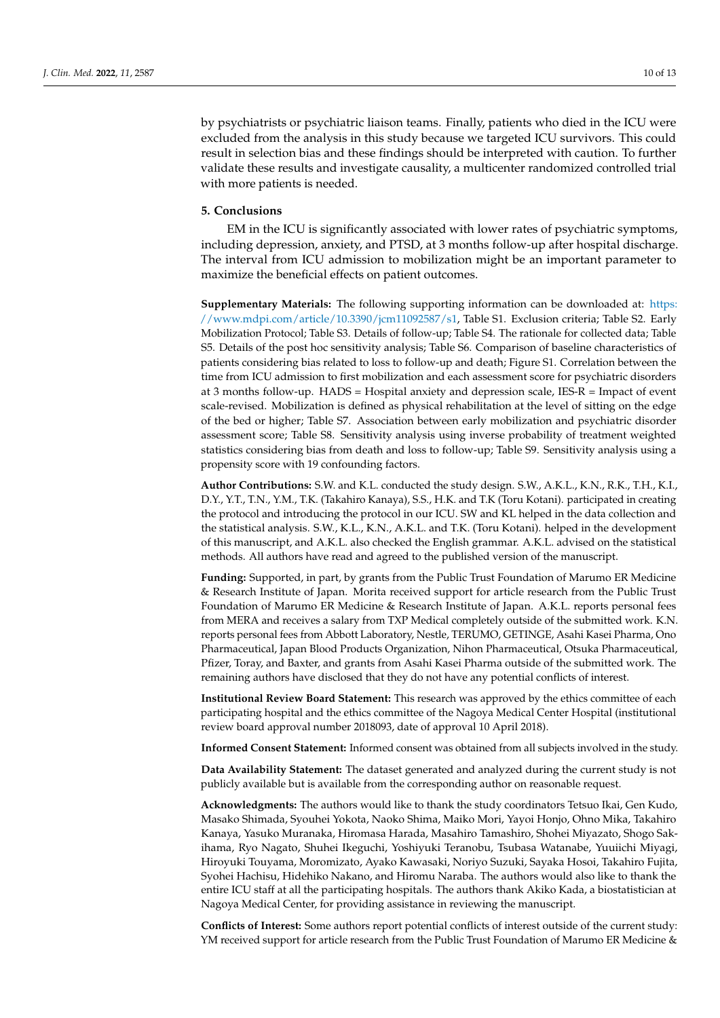by psychiatrists or psychiatric liaison teams. Finally, patients who died in the ICU were excluded from the analysis in this study because we targeted ICU survivors. This could result in selection bias and these findings should be interpreted with caution. To further validate these results and investigate causality, a multicenter randomized controlled trial with more patients is needed.

#### **5. Conclusions**

EM in the ICU is significantly associated with lower rates of psychiatric symptoms, including depression, anxiety, and PTSD, at 3 months follow-up after hospital discharge. The interval from ICU admission to mobilization might be an important parameter to maximize the beneficial effects on patient outcomes.

**Supplementary Materials:** The following supporting information can be downloaded at: [https:](https://www.mdpi.com/article/10.3390/jcm11092587/s1) [//www.mdpi.com/article/10.3390/jcm11092587/s1,](https://www.mdpi.com/article/10.3390/jcm11092587/s1) Table S1. Exclusion criteria; Table S2. Early Mobilization Protocol; Table S3. Details of follow-up; Table S4. The rationale for collected data; Table S5. Details of the post hoc sensitivity analysis; Table S6. Comparison of baseline characteristics of patients considering bias related to loss to follow-up and death; Figure S1. Correlation between the time from ICU admission to first mobilization and each assessment score for psychiatric disorders at 3 months follow-up. HADS = Hospital anxiety and depression scale, IES-R = Impact of event scale-revised. Mobilization is defined as physical rehabilitation at the level of sitting on the edge of the bed or higher; Table S7. Association between early mobilization and psychiatric disorder assessment score; Table S8. Sensitivity analysis using inverse probability of treatment weighted statistics considering bias from death and loss to follow-up; Table S9. Sensitivity analysis using a propensity score with 19 confounding factors.

**Author Contributions:** S.W. and K.L. conducted the study design. S.W., A.K.L., K.N., R.K., T.H., K.I., D.Y., Y.T., T.N., Y.M., T.K. (Takahiro Kanaya), S.S., H.K. and T.K (Toru Kotani). participated in creating the protocol and introducing the protocol in our ICU. SW and KL helped in the data collection and the statistical analysis. S.W., K.L., K.N., A.K.L. and T.K. (Toru Kotani). helped in the development of this manuscript, and A.K.L. also checked the English grammar. A.K.L. advised on the statistical methods. All authors have read and agreed to the published version of the manuscript.

**Funding:** Supported, in part, by grants from the Public Trust Foundation of Marumo ER Medicine & Research Institute of Japan. Morita received support for article research from the Public Trust Foundation of Marumo ER Medicine & Research Institute of Japan. A.K.L. reports personal fees from MERA and receives a salary from TXP Medical completely outside of the submitted work. K.N. reports personal fees from Abbott Laboratory, Nestle, TERUMO, GETINGE, Asahi Kasei Pharma, Ono Pharmaceutical, Japan Blood Products Organization, Nihon Pharmaceutical, Otsuka Pharmaceutical, Pfizer, Toray, and Baxter, and grants from Asahi Kasei Pharma outside of the submitted work. The remaining authors have disclosed that they do not have any potential conflicts of interest.

**Institutional Review Board Statement:** This research was approved by the ethics committee of each participating hospital and the ethics committee of the Nagoya Medical Center Hospital (institutional review board approval number 2018093, date of approval 10 April 2018).

**Informed Consent Statement:** Informed consent was obtained from all subjects involved in the study.

**Data Availability Statement:** The dataset generated and analyzed during the current study is not publicly available but is available from the corresponding author on reasonable request.

**Acknowledgments:** The authors would like to thank the study coordinators Tetsuo Ikai, Gen Kudo, Masako Shimada, Syouhei Yokota, Naoko Shima, Maiko Mori, Yayoi Honjo, Ohno Mika, Takahiro Kanaya, Yasuko Muranaka, Hiromasa Harada, Masahiro Tamashiro, Shohei Miyazato, Shogo Sakihama, Ryo Nagato, Shuhei Ikeguchi, Yoshiyuki Teranobu, Tsubasa Watanabe, Yuuiichi Miyagi, Hiroyuki Touyama, Moromizato, Ayako Kawasaki, Noriyo Suzuki, Sayaka Hosoi, Takahiro Fujita, Syohei Hachisu, Hidehiko Nakano, and Hiromu Naraba. The authors would also like to thank the entire ICU staff at all the participating hospitals. The authors thank Akiko Kada, a biostatistician at Nagoya Medical Center, for providing assistance in reviewing the manuscript.

**Conflicts of Interest:** Some authors report potential conflicts of interest outside of the current study: YM received support for article research from the Public Trust Foundation of Marumo ER Medicine &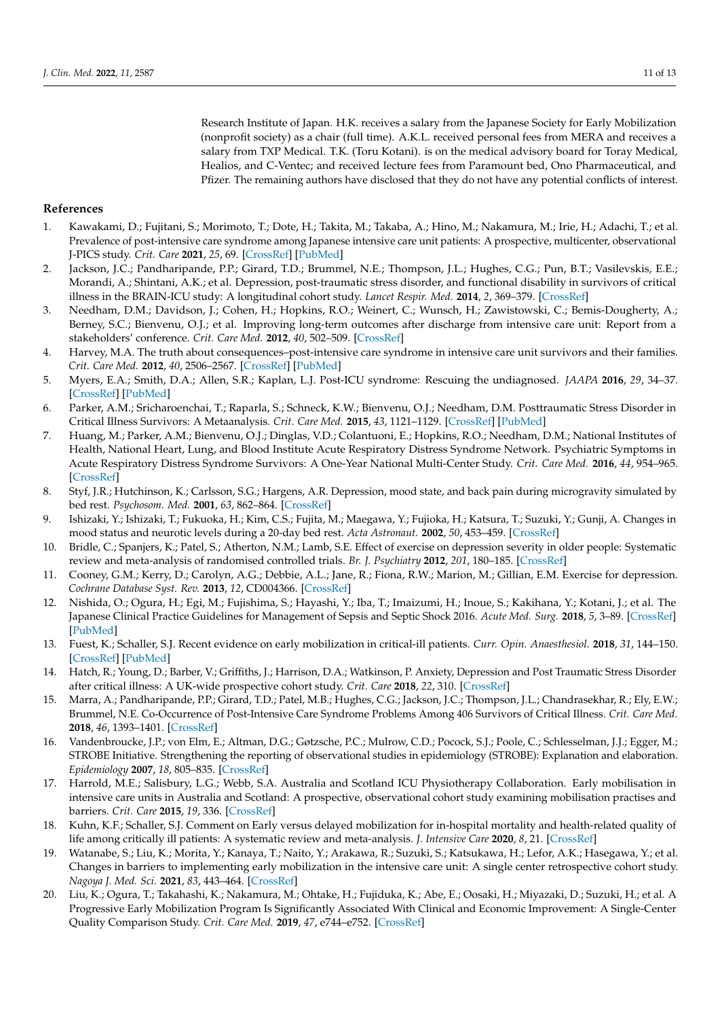Research Institute of Japan. H.K. receives a salary from the Japanese Society for Early Mobilization (nonprofit society) as a chair (full time). A.K.L. received personal fees from MERA and receives a salary from TXP Medical. T.K. (Toru Kotani). is on the medical advisory board for Toray Medical, Healios, and C-Ventec; and received lecture fees from Paramount bed, Ono Pharmaceutical, and Pfizer. The remaining authors have disclosed that they do not have any potential conflicts of interest.

#### **References**

- <span id="page-10-0"></span>1. Kawakami, D.; Fujitani, S.; Morimoto, T.; Dote, H.; Takita, M.; Takaba, A.; Hino, M.; Nakamura, M.; Irie, H.; Adachi, T.; et al. Prevalence of post-intensive care syndrome among Japanese intensive care unit patients: A prospective, multicenter, observational J-PICS study. *Crit. Care* **2021**, *25*, 69. [\[CrossRef\]](http://doi.org/10.1186/s13054-021-03501-z) [\[PubMed\]](http://www.ncbi.nlm.nih.gov/pubmed/33593406)
- <span id="page-10-1"></span>2. Jackson, J.C.; Pandharipande, P.P.; Girard, T.D.; Brummel, N.E.; Thompson, J.L.; Hughes, C.G.; Pun, B.T.; Vasilevskis, E.E.; Morandi, A.; Shintani, A.K.; et al. Depression, post-traumatic stress disorder, and functional disability in survivors of critical illness in the BRAIN-ICU study: A longitudinal cohort study. *Lancet Respir. Med.* **2014**, *2*, 369–379. [\[CrossRef\]](http://doi.org/10.1016/S2213-2600(14)70051-7)
- <span id="page-10-2"></span>3. Needham, D.M.; Davidson, J.; Cohen, H.; Hopkins, R.O.; Weinert, C.; Wunsch, H.; Zawistowski, C.; Bemis-Dougherty, A.; Berney, S.C.; Bienvenu, O.J.; et al. Improving long-term outcomes after discharge from intensive care unit: Report from a stakeholders' conference. *Crit. Care Med.* **2012**, *40*, 502–509. [\[CrossRef\]](http://doi.org/10.1097/CCM.0b013e318232da75)
- <span id="page-10-3"></span>4. Harvey, M.A. The truth about consequences–post-intensive care syndrome in intensive care unit survivors and their families. *Crit. Care Med.* **2012**, *40*, 2506–2567. [\[CrossRef\]](http://doi.org/10.1097/CCM.0b013e318258e943) [\[PubMed\]](http://www.ncbi.nlm.nih.gov/pubmed/22809925)
- <span id="page-10-4"></span>5. Myers, E.A.; Smith, D.A.; Allen, S.R.; Kaplan, L.J. Post-ICU syndrome: Rescuing the undiagnosed. *JAAPA* **2016**, *29*, 34–37. [\[CrossRef\]](http://doi.org/10.1097/01.JAA.0000481401.21841.32) [\[PubMed\]](http://www.ncbi.nlm.nih.gov/pubmed/27023654)
- <span id="page-10-5"></span>6. Parker, A.M.; Sricharoenchai, T.; Raparla, S.; Schneck, K.W.; Bienvenu, O.J.; Needham, D.M. Posttraumatic Stress Disorder in Critical Illness Survivors: A Metaanalysis. *Crit. Care Med.* **2015**, *43*, 1121–1129. [\[CrossRef\]](http://doi.org/10.1097/CCM.0000000000000882) [\[PubMed\]](http://www.ncbi.nlm.nih.gov/pubmed/25654178)
- <span id="page-10-6"></span>7. Huang, M.; Parker, A.M.; Bienvenu, O.J.; Dinglas, V.D.; Colantuoni, E.; Hopkins, R.O.; Needham, D.M.; National Institutes of Health, National Heart, Lung, and Blood Institute Acute Respiratory Distress Syndrome Network. Psychiatric Symptoms in Acute Respiratory Distress Syndrome Survivors: A One-Year National Multi-Center Study. *Crit. Care Med.* **2016**, *44*, 954–965. [\[CrossRef\]](http://doi.org/10.1097/CCM.0000000000001621)
- <span id="page-10-7"></span>8. Styf, J.R.; Hutchinson, K.; Carlsson, S.G.; Hargens, A.R. Depression, mood state, and back pain during microgravity simulated by bed rest. *Psychosom. Med.* **2001**, *63*, 862–864. [\[CrossRef\]](http://doi.org/10.1097/00006842-200111000-00002)
- <span id="page-10-8"></span>9. Ishizaki, Y.; Ishizaki, T.; Fukuoka, H.; Kim, C.S.; Fujita, M.; Maegawa, Y.; Fujioka, H.; Katsura, T.; Suzuki, Y.; Gunji, A. Changes in mood status and neurotic levels during a 20-day bed rest. *Acta Astronaut.* **2002**, *50*, 453–459. [\[CrossRef\]](http://doi.org/10.1016/S0094-5765(01)00189-8)
- <span id="page-10-9"></span>10. Bridle, C.; Spanjers, K.; Patel, S.; Atherton, N.M.; Lamb, S.E. Effect of exercise on depression severity in older people: Systematic review and meta-analysis of randomised controlled trials. *Br. J. Psychiatry* **2012**, *201*, 180–185. [\[CrossRef\]](http://doi.org/10.1192/bjp.bp.111.095174)
- <span id="page-10-10"></span>11. Cooney, G.M.; Kerry, D.; Carolyn, A.G.; Debbie, A.L.; Jane, R.; Fiona, R.W.; Marion, M.; Gillian, E.M. Exercise for depression. *Cochrane Database Syst. Rev.* **2013**, *12*, CD004366. [\[CrossRef\]](http://doi.org/10.1002/14651858.CD004366.pub6)
- <span id="page-10-11"></span>12. Nishida, O.; Ogura, H.; Egi, M.; Fujishima, S.; Hayashi, Y.; Iba, T.; Imaizumi, H.; Inoue, S.; Kakihana, Y.; Kotani, J.; et al. The Japanese Clinical Practice Guidelines for Management of Sepsis and Septic Shock 2016. *Acute Med. Surg.* **2018**, *5*, 3–89. [\[CrossRef\]](http://doi.org/10.1002/ams2.322) [\[PubMed\]](http://www.ncbi.nlm.nih.gov/pubmed/29445505)
- <span id="page-10-12"></span>13. Fuest, K.; Schaller, S.J. Recent evidence on early mobilization in critical-ill patients. *Curr. Opin. Anaesthesiol.* **2018**, *31*, 144–150. [\[CrossRef\]](http://doi.org/10.1097/ACO.0000000000000568) [\[PubMed\]](http://www.ncbi.nlm.nih.gov/pubmed/29351145)
- <span id="page-10-13"></span>14. Hatch, R.; Young, D.; Barber, V.; Griffiths, J.; Harrison, D.A.; Watkinson, P. Anxiety, Depression and Post Traumatic Stress Disorder after critical illness: A UK-wide prospective cohort study. *Crit. Care* **2018**, *22*, 310. [\[CrossRef\]](http://doi.org/10.1186/s13054-018-2223-6)
- <span id="page-10-14"></span>15. Marra, A.; Pandharipande, P.P.; Girard, T.D.; Patel, M.B.; Hughes, C.G.; Jackson, J.C.; Thompson, J.L.; Chandrasekhar, R.; Ely, E.W.; Brummel, N.E. Co-Occurrence of Post-Intensive Care Syndrome Problems Among 406 Survivors of Critical Illness. *Crit. Care Med.* **2018**, *46*, 1393–1401. [\[CrossRef\]](http://doi.org/10.1097/CCM.0000000000003218)
- <span id="page-10-15"></span>16. Vandenbroucke, J.P.; von Elm, E.; Altman, D.G.; Gøtzsche, P.C.; Mulrow, C.D.; Pocock, S.J.; Poole, C.; Schlesselman, J.J.; Egger, M.; STROBE Initiative. Strengthening the reporting of observational studies in epidemiology (STROBE): Explanation and elaboration. *Epidemiology* **2007**, *18*, 805–835. [\[CrossRef\]](http://doi.org/10.1097/EDE.0b013e3181577511)
- <span id="page-10-16"></span>17. Harrold, M.E.; Salisbury, L.G.; Webb, S.A. Australia and Scotland ICU Physiotherapy Collaboration. Early mobilisation in intensive care units in Australia and Scotland: A prospective, observational cohort study examining mobilisation practises and barriers. *Crit. Care* **2015**, *19*, 336. [\[CrossRef\]](http://doi.org/10.1186/s13054-015-1033-3)
- 18. Kuhn, K.F.; Schaller, S.J. Comment on Early versus delayed mobilization for in-hospital mortality and health-related quality of life among critically ill patients: A systematic review and meta-analysis. *J. Intensive Care* **2020**, *8*, 21. [\[CrossRef\]](http://doi.org/10.1186/s40560-020-0436-7)
- <span id="page-10-17"></span>19. Watanabe, S.; Liu, K.; Morita, Y.; Kanaya, T.; Naito, Y.; Arakawa, R.; Suzuki, S.; Katsukawa, H.; Lefor, A.K.; Hasegawa, Y.; et al. Changes in barriers to implementing early mobilization in the intensive care unit: A single center retrospective cohort study. *Nagoya J. Med. Sci.* **2021**, *83*, 443–464. [\[CrossRef\]](http://doi.org/10.18999/nagjms.83.3.443)
- 20. Liu, K.; Ogura, T.; Takahashi, K.; Nakamura, M.; Ohtake, H.; Fujiduka, K.; Abe, E.; Oosaki, H.; Miyazaki, D.; Suzuki, H.; et al. A Progressive Early Mobilization Program Is Significantly Associated With Clinical and Economic Improvement: A Single-Center Quality Comparison Study. *Crit. Care Med.* **2019**, *47*, e744–e752. [\[CrossRef\]](http://doi.org/10.1097/CCM.0000000000003850)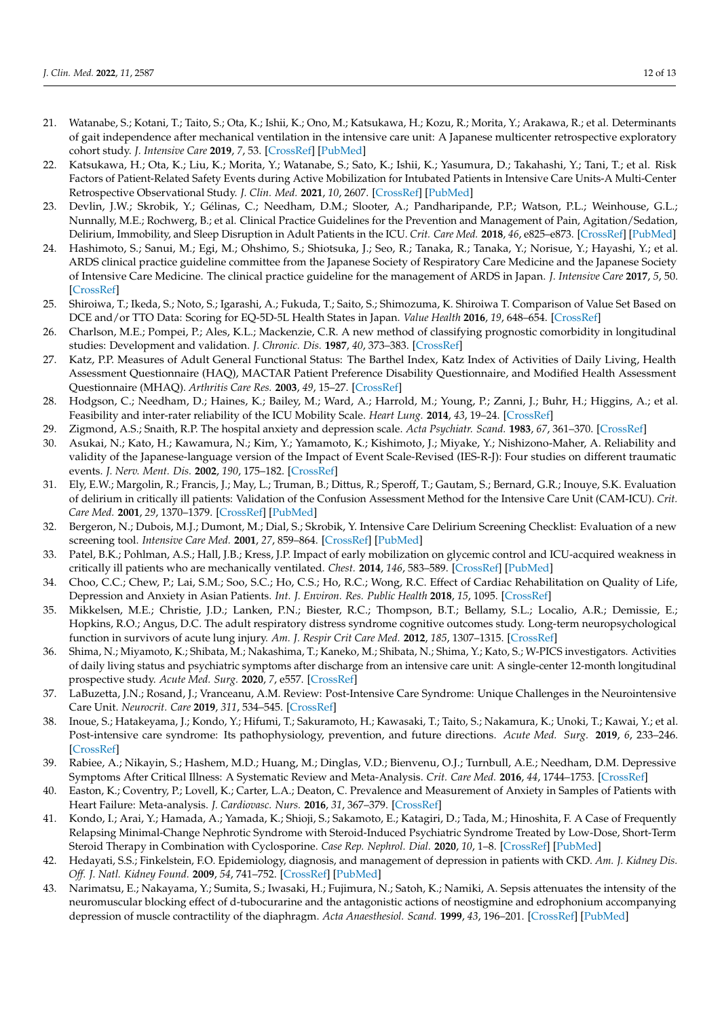- <span id="page-11-0"></span>21. Watanabe, S.; Kotani, T.; Taito, S.; Ota, K.; Ishii, K.; Ono, M.; Katsukawa, H.; Kozu, R.; Morita, Y.; Arakawa, R.; et al. Determinants of gait independence after mechanical ventilation in the intensive care unit: A Japanese multicenter retrospective exploratory cohort study. *J. Intensive Care* **2019**, *7*, 53. [\[CrossRef\]](http://doi.org/10.1186/s40560-019-0404-2) [\[PubMed\]](http://www.ncbi.nlm.nih.gov/pubmed/31798888)
- <span id="page-11-1"></span>22. Katsukawa, H.; Ota, K.; Liu, K.; Morita, Y.; Watanabe, S.; Sato, K.; Ishii, K.; Yasumura, D.; Takahashi, Y.; Tani, T.; et al. Risk Factors of Patient-Related Safety Events during Active Mobilization for Intubated Patients in Intensive Care Units-A Multi-Center Retrospective Observational Study. *J. Clin. Med.* **2021**, *10*, 2607. [\[CrossRef\]](http://doi.org/10.3390/jcm10122607) [\[PubMed\]](http://www.ncbi.nlm.nih.gov/pubmed/34199207)
- <span id="page-11-2"></span>23. Devlin, J.W.; Skrobik, Y.; Gélinas, C.; Needham, D.M.; Slooter, A.; Pandharipande, P.P.; Watson, P.L.; Weinhouse, G.L.; Nunnally, M.E.; Rochwerg, B.; et al. Clinical Practice Guidelines for the Prevention and Management of Pain, Agitation/Sedation, Delirium, Immobility, and Sleep Disruption in Adult Patients in the ICU. *Crit. Care Med.* **2018**, *46*, e825–e873. [\[CrossRef\]](http://doi.org/10.1097/CCM.0000000000003299) [\[PubMed\]](http://www.ncbi.nlm.nih.gov/pubmed/30113379)
- <span id="page-11-3"></span>24. Hashimoto, S.; Sanui, M.; Egi, M.; Ohshimo, S.; Shiotsuka, J.; Seo, R.; Tanaka, R.; Tanaka, Y.; Norisue, Y.; Hayashi, Y.; et al. ARDS clinical practice guideline committee from the Japanese Society of Respiratory Care Medicine and the Japanese Society of Intensive Care Medicine. The clinical practice guideline for the management of ARDS in Japan. *J. Intensive Care* **2017**, *5*, 50. [\[CrossRef\]](http://doi.org/10.1186/s40560-017-0222-3)
- <span id="page-11-4"></span>25. Shiroiwa, T.; Ikeda, S.; Noto, S.; Igarashi, A.; Fukuda, T.; Saito, S.; Shimozuma, K. Shiroiwa T. Comparison of Value Set Based on DCE and/or TTO Data: Scoring for EQ-5D-5L Health States in Japan. *Value Health* **2016**, *19*, 648–654. [\[CrossRef\]](http://doi.org/10.1016/j.jval.2016.03.1834)
- <span id="page-11-5"></span>26. Charlson, M.E.; Pompei, P.; Ales, K.L.; Mackenzie, C.R. A new method of classifying prognostic comorbidity in longitudinal studies: Development and validation. *J. Chronic. Dis.* **1987**, *40*, 373–383. [\[CrossRef\]](http://doi.org/10.1016/0021-9681(87)90171-8)
- <span id="page-11-6"></span>27. Katz, P.P. Measures of Adult General Functional Status: The Barthel Index, Katz Index of Activities of Daily Living, Health Assessment Questionnaire (HAQ), MACTAR Patient Preference Disability Questionnaire, and Modified Health Assessment Questionnaire (MHAQ). *Arthritis Care Res.* **2003**, *49*, 15–27. [\[CrossRef\]](http://doi.org/10.1002/art.11415)
- <span id="page-11-7"></span>28. Hodgson, C.; Needham, D.; Haines, K.; Bailey, M.; Ward, A.; Harrold, M.; Young, P.; Zanni, J.; Buhr, H.; Higgins, A.; et al. Feasibility and inter-rater reliability of the ICU Mobility Scale. *Heart Lung.* **2014**, *43*, 19–24. [\[CrossRef\]](http://doi.org/10.1016/j.hrtlng.2013.11.003)
- <span id="page-11-8"></span>29. Zigmond, A.S.; Snaith, R.P. The hospital anxiety and depression scale. *Acta Psychiatr. Scand.* **1983**, *67*, 361–370. [\[CrossRef\]](http://doi.org/10.1111/j.1600-0447.1983.tb09716.x)
- <span id="page-11-9"></span>30. Asukai, N.; Kato, H.; Kawamura, N.; Kim, Y.; Yamamoto, K.; Kishimoto, J.; Miyake, Y.; Nishizono-Maher, A. Reliability and validity of the Japanese-language version of the Impact of Event Scale-Revised (IES-R-J): Four studies on different traumatic events. *J. Nerv. Ment. Dis.* **2002**, *190*, 175–182. [\[CrossRef\]](http://doi.org/10.1097/00005053-200203000-00006)
- <span id="page-11-10"></span>31. Ely, E.W.; Margolin, R.; Francis, J.; May, L.; Truman, B.; Dittus, R.; Speroff, T.; Gautam, S.; Bernard, G.R.; Inouye, S.K. Evaluation of delirium in critically ill patients: Validation of the Confusion Assessment Method for the Intensive Care Unit (CAM-ICU). *Crit. Care Med.* **2001**, *29*, 1370–1379. [\[CrossRef\]](http://doi.org/10.1097/00003246-200107000-00012) [\[PubMed\]](http://www.ncbi.nlm.nih.gov/pubmed/11445689)
- <span id="page-11-11"></span>32. Bergeron, N.; Dubois, M.J.; Dumont, M.; Dial, S.; Skrobik, Y. Intensive Care Delirium Screening Checklist: Evaluation of a new screening tool. *Intensive Care Med.* **2001**, *27*, 859–864. [\[CrossRef\]](http://doi.org/10.1007/s001340100909) [\[PubMed\]](http://www.ncbi.nlm.nih.gov/pubmed/11430542)
- <span id="page-11-12"></span>33. Patel, B.K.; Pohlman, A.S.; Hall, J.B.; Kress, J.P. Impact of early mobilization on glycemic control and ICU-acquired weakness in critically ill patients who are mechanically ventilated. *Chest.* **2014**, *146*, 583–589. [\[CrossRef\]](http://doi.org/10.1378/chest.13-2046) [\[PubMed\]](http://www.ncbi.nlm.nih.gov/pubmed/25180722)
- <span id="page-11-13"></span>34. Choo, C.C.; Chew, P.; Lai, S.M.; Soo, S.C.; Ho, C.S.; Ho, R.C.; Wong, R.C. Effect of Cardiac Rehabilitation on Quality of Life, Depression and Anxiety in Asian Patients. *Int. J. Environ. Res. Public Health* **2018**, *15*, 1095. [\[CrossRef\]](http://doi.org/10.3390/ijerph15061095)
- <span id="page-11-14"></span>35. Mikkelsen, M.E.; Christie, J.D.; Lanken, P.N.; Biester, R.C.; Thompson, B.T.; Bellamy, S.L.; Localio, A.R.; Demissie, E.; Hopkins, R.O.; Angus, D.C. The adult respiratory distress syndrome cognitive outcomes study. Long-term neuropsychological function in survivors of acute lung injury. *Am. J. Respir Crit Care Med.* **2012**, *185*, 1307–1315. [\[CrossRef\]](http://doi.org/10.1164/rccm.201111-2025OC)
- 36. Shima, N.; Miyamoto, K.; Shibata, M.; Nakashima, T.; Kaneko, M.; Shibata, N.; Shima, Y.; Kato, S.; W-PICS investigators. Activities of daily living status and psychiatric symptoms after discharge from an intensive care unit: A single-center 12-month longitudinal prospective study. *Acute Med. Surg.* **2020**, *7*, e557. [\[CrossRef\]](http://doi.org/10.1002/ams2.557)
- 37. LaBuzetta, J.N.; Rosand, J.; Vranceanu, A.M. Review: Post-Intensive Care Syndrome: Unique Challenges in the Neurointensive Care Unit. *Neurocrit. Care* **2019**, *311*, 534–545. [\[CrossRef\]](http://doi.org/10.1007/s12028-019-00826-0)
- 38. Inoue, S.; Hatakeyama, J.; Kondo, Y.; Hifumi, T.; Sakuramoto, H.; Kawasaki, T.; Taito, S.; Nakamura, K.; Unoki, T.; Kawai, Y.; et al. Post-intensive care syndrome: Its pathophysiology, prevention, and future directions. *Acute Med. Surg.* **2019**, *6*, 233–246. [\[CrossRef\]](http://doi.org/10.1002/ams2.415)
- 39. Rabiee, A.; Nikayin, S.; Hashem, M.D.; Huang, M.; Dinglas, V.D.; Bienvenu, O.J.; Turnbull, A.E.; Needham, D.M. Depressive Symptoms After Critical Illness: A Systematic Review and Meta-Analysis. *Crit. Care Med.* **2016**, *44*, 1744–1753. [\[CrossRef\]](http://doi.org/10.1097/CCM.0000000000001811)
- 40. Easton, K.; Coventry, P.; Lovell, K.; Carter, L.A.; Deaton, C. Prevalence and Measurement of Anxiety in Samples of Patients with Heart Failure: Meta-analysis. *J. Cardiovasc. Nurs.* **2016**, *31*, 367–379. [\[CrossRef\]](http://doi.org/10.1097/JCN.0000000000000265)
- 41. Kondo, I.; Arai, Y.; Hamada, A.; Yamada, K.; Shioji, S.; Sakamoto, E.; Katagiri, D.; Tada, M.; Hinoshita, F. A Case of Frequently Relapsing Minimal-Change Nephrotic Syndrome with Steroid-Induced Psychiatric Syndrome Treated by Low-Dose, Short-Term Steroid Therapy in Combination with Cyclosporine. *Case Rep. Nephrol. Dial.* **2020**, *10*, 1–8. [\[CrossRef\]](http://doi.org/10.1159/000505313) [\[PubMed\]](http://www.ncbi.nlm.nih.gov/pubmed/32002410)
- 42. Hedayati, S.S.; Finkelstein, F.O. Epidemiology, diagnosis, and management of depression in patients with CKD. *Am. J. Kidney Dis. Off. J. Natl. Kidney Found.* **2009**, *54*, 741–752. [\[CrossRef\]](http://doi.org/10.1053/j.ajkd.2009.05.003) [\[PubMed\]](http://www.ncbi.nlm.nih.gov/pubmed/19592143)
- 43. Narimatsu, E.; Nakayama, Y.; Sumita, S.; Iwasaki, H.; Fujimura, N.; Satoh, K.; Namiki, A. Sepsis attenuates the intensity of the neuromuscular blocking effect of d-tubocurarine and the antagonistic actions of neostigmine and edrophonium accompanying depression of muscle contractility of the diaphragm. *Acta Anaesthesiol. Scand.* **1999**, *43*, 196–201. [\[CrossRef\]](http://doi.org/10.1034/j.1399-6576.1999.430213.x) [\[PubMed\]](http://www.ncbi.nlm.nih.gov/pubmed/10027028)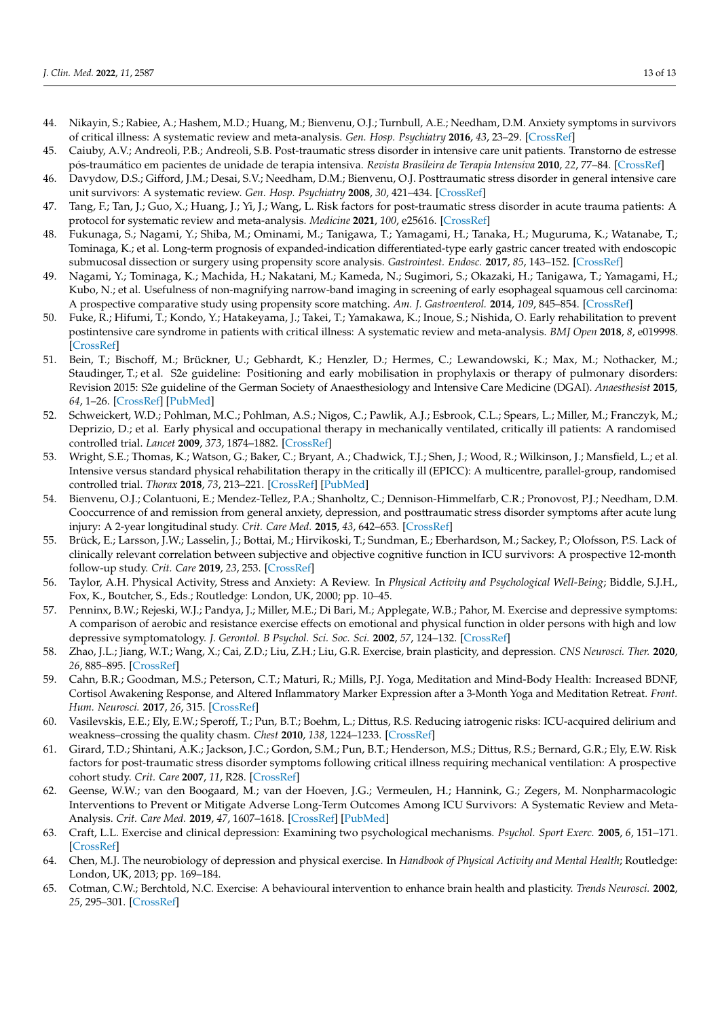- 44. Nikayin, S.; Rabiee, A.; Hashem, M.D.; Huang, M.; Bienvenu, O.J.; Turnbull, A.E.; Needham, D.M. Anxiety symptoms in survivors of critical illness: A systematic review and meta-analysis. *Gen. Hosp. Psychiatry* **2016**, *43*, 23–29. [\[CrossRef\]](http://doi.org/10.1016/j.genhosppsych.2016.08.005)
- 45. Caiuby, A.V.; Andreoli, P.B.; Andreoli, S.B. Post-traumatic stress disorder in intensive care unit patients. Transtorno de estresse pós-traumático em pacientes de unidade de terapia intensiva. *Revista Brasileira de Terapia Intensiva* **2010**, *22*, 77–84. [\[CrossRef\]](http://doi.org/10.1590/S0103-507X2010000100013)
- 46. Davydow, D.S.; Gifford, J.M.; Desai, S.V.; Needham, D.M.; Bienvenu, O.J. Posttraumatic stress disorder in general intensive care unit survivors: A systematic review. *Gen. Hosp. Psychiatry* **2008**, *30*, 421–434. [\[CrossRef\]](http://doi.org/10.1016/j.genhosppsych.2008.05.006)
- <span id="page-12-0"></span>47. Tang, F.; Tan, J.; Guo, X.; Huang, J.; Yi, J.; Wang, L. Risk factors for post-traumatic stress disorder in acute trauma patients: A protocol for systematic review and meta-analysis. *Medicine* **2021**, *100*, e25616. [\[CrossRef\]](http://doi.org/10.1097/MD.0000000000025616)
- <span id="page-12-1"></span>48. Fukunaga, S.; Nagami, Y.; Shiba, M.; Ominami, M.; Tanigawa, T.; Yamagami, H.; Tanaka, H.; Muguruma, K.; Watanabe, T.; Tominaga, K.; et al. Long-term prognosis of expanded-indication differentiated-type early gastric cancer treated with endoscopic submucosal dissection or surgery using propensity score analysis. *Gastrointest. Endosc.* **2017**, *85*, 143–152. [\[CrossRef\]](http://doi.org/10.1016/j.gie.2016.06.049)
- <span id="page-12-2"></span>49. Nagami, Y.; Tominaga, K.; Machida, H.; Nakatani, M.; Kameda, N.; Sugimori, S.; Okazaki, H.; Tanigawa, T.; Yamagami, H.; Kubo, N.; et al. Usefulness of non-magnifying narrow-band imaging in screening of early esophageal squamous cell carcinoma: A prospective comparative study using propensity score matching. *Am. J. Gastroenterol.* **2014**, *109*, 845–854. [\[CrossRef\]](http://doi.org/10.1038/ajg.2014.94)
- <span id="page-12-3"></span>50. Fuke, R.; Hifumi, T.; Kondo, Y.; Hatakeyama, J.; Takei, T.; Yamakawa, K.; Inoue, S.; Nishida, O. Early rehabilitation to prevent postintensive care syndrome in patients with critical illness: A systematic review and meta-analysis. *BMJ Open* **2018**, *8*, e019998. [\[CrossRef\]](http://doi.org/10.1136/bmjopen-2017-019998)
- <span id="page-12-4"></span>51. Bein, T.; Bischoff, M.; Brückner, U.; Gebhardt, K.; Henzler, D.; Hermes, C.; Lewandowski, K.; Max, M.; Nothacker, M.; Staudinger, T.; et al. S2e guideline: Positioning and early mobilisation in prophylaxis or therapy of pulmonary disorders: Revision 2015: S2e guideline of the German Society of Anaesthesiology and Intensive Care Medicine (DGAI). *Anaesthesist* **2015**, *64*, 1–26. [\[CrossRef\]](http://doi.org/10.1007/s00101-015-0071-1) [\[PubMed\]](http://www.ncbi.nlm.nih.gov/pubmed/26335630)
- <span id="page-12-5"></span>52. Schweickert, W.D.; Pohlman, M.C.; Pohlman, A.S.; Nigos, C.; Pawlik, A.J.; Esbrook, C.L.; Spears, L.; Miller, M.; Franczyk, M.; Deprizio, D.; et al. Early physical and occupational therapy in mechanically ventilated, critically ill patients: A randomised controlled trial. *Lancet* **2009**, *373*, 1874–1882. [\[CrossRef\]](http://doi.org/10.1016/S0140-6736(09)60658-9)
- <span id="page-12-6"></span>53. Wright, S.E.; Thomas, K.; Watson, G.; Baker, C.; Bryant, A.; Chadwick, T.J.; Shen, J.; Wood, R.; Wilkinson, J.; Mansfield, L.; et al. Intensive versus standard physical rehabilitation therapy in the critically ill (EPICC): A multicentre, parallel-group, randomised controlled trial. *Thorax* **2018**, *73*, 213–221. [\[CrossRef\]](http://doi.org/10.1136/thoraxjnl-2016-209858) [\[PubMed\]](http://www.ncbi.nlm.nih.gov/pubmed/28780504)
- <span id="page-12-7"></span>54. Bienvenu, O.J.; Colantuoni, E.; Mendez-Tellez, P.A.; Shanholtz, C.; Dennison-Himmelfarb, C.R.; Pronovost, P.J.; Needham, D.M. Cooccurrence of and remission from general anxiety, depression, and posttraumatic stress disorder symptoms after acute lung injury: A 2-year longitudinal study. *Crit. Care Med.* **2015**, *43*, 642–653. [\[CrossRef\]](http://doi.org/10.1097/CCM.0000000000000752)
- <span id="page-12-8"></span>55. Brück, E.; Larsson, J.W.; Lasselin, J.; Bottai, M.; Hirvikoski, T.; Sundman, E.; Eberhardson, M.; Sackey, P.; Olofsson, P.S. Lack of clinically relevant correlation between subjective and objective cognitive function in ICU survivors: A prospective 12-month follow-up study. *Crit. Care* **2019**, *23*, 253. [\[CrossRef\]](http://doi.org/10.1186/s13054-019-2527-1)
- <span id="page-12-9"></span>56. Taylor, A.H. Physical Activity, Stress and Anxiety: A Review. In *Physical Activity and Psychological Well-Being*; Biddle, S.J.H., Fox, K., Boutcher, S., Eds.; Routledge: London, UK, 2000; pp. 10–45.
- <span id="page-12-10"></span>57. Penninx, B.W.; Rejeski, W.J.; Pandya, J.; Miller, M.E.; Di Bari, M.; Applegate, W.B.; Pahor, M. Exercise and depressive symptoms: A comparison of aerobic and resistance exercise effects on emotional and physical function in older persons with high and low depressive symptomatology. *J. Gerontol. B Psychol. Sci. Soc. Sci.* **2002**, *57*, 124–132. [\[CrossRef\]](http://doi.org/10.1093/geronb/57.2.P124)
- <span id="page-12-11"></span>58. Zhao, J.L.; Jiang, W.T.; Wang, X.; Cai, Z.D.; Liu, Z.H.; Liu, G.R. Exercise, brain plasticity, and depression. *CNS Neurosci. Ther.* **2020**, *26*, 885–895. [\[CrossRef\]](http://doi.org/10.1111/cns.13385)
- <span id="page-12-12"></span>59. Cahn, B.R.; Goodman, M.S.; Peterson, C.T.; Maturi, R.; Mills, P.J. Yoga, Meditation and Mind-Body Health: Increased BDNF, Cortisol Awakening Response, and Altered Inflammatory Marker Expression after a 3-Month Yoga and Meditation Retreat. *Front. Hum. Neurosci.* **2017**, *26*, 315. [\[CrossRef\]](http://doi.org/10.3389/fnhum.2017.00315)
- <span id="page-12-13"></span>60. Vasilevskis, E.E.; Ely, E.W.; Speroff, T.; Pun, B.T.; Boehm, L.; Dittus, R.S. Reducing iatrogenic risks: ICU-acquired delirium and weakness–crossing the quality chasm. *Chest* **2010**, *138*, 1224–1233. [\[CrossRef\]](http://doi.org/10.1378/chest.10-0466)
- <span id="page-12-14"></span>61. Girard, T.D.; Shintani, A.K.; Jackson, J.C.; Gordon, S.M.; Pun, B.T.; Henderson, M.S.; Dittus, R.S.; Bernard, G.R.; Ely, E.W. Risk factors for post-traumatic stress disorder symptoms following critical illness requiring mechanical ventilation: A prospective cohort study. *Crit. Care* **2007**, *11*, R28. [\[CrossRef\]](http://doi.org/10.1186/cc5708)
- <span id="page-12-15"></span>62. Geense, W.W.; van den Boogaard, M.; van der Hoeven, J.G.; Vermeulen, H.; Hannink, G.; Zegers, M. Nonpharmacologic Interventions to Prevent or Mitigate Adverse Long-Term Outcomes Among ICU Survivors: A Systematic Review and Meta-Analysis. *Crit. Care Med.* **2019**, *47*, 1607–1618. [\[CrossRef\]](http://doi.org/10.1097/CCM.0000000000003974) [\[PubMed\]](http://www.ncbi.nlm.nih.gov/pubmed/31464769)
- <span id="page-12-16"></span>63. Craft, L.L. Exercise and clinical depression: Examining two psychological mechanisms. *Psychol. Sport Exerc.* **2005**, *6*, 151–171. [\[CrossRef\]](http://doi.org/10.1016/j.psychsport.2003.11.003)
- <span id="page-12-17"></span>64. Chen, M.J. The neurobiology of depression and physical exercise. In *Handbook of Physical Activity and Mental Health*; Routledge: London, UK, 2013; pp. 169–184.
- <span id="page-12-18"></span>65. Cotman, C.W.; Berchtold, N.C. Exercise: A behavioural intervention to enhance brain health and plasticity. *Trends Neurosci.* **2002**, *25*, 295–301. [\[CrossRef\]](http://doi.org/10.1016/S0166-2236(02)02143-4)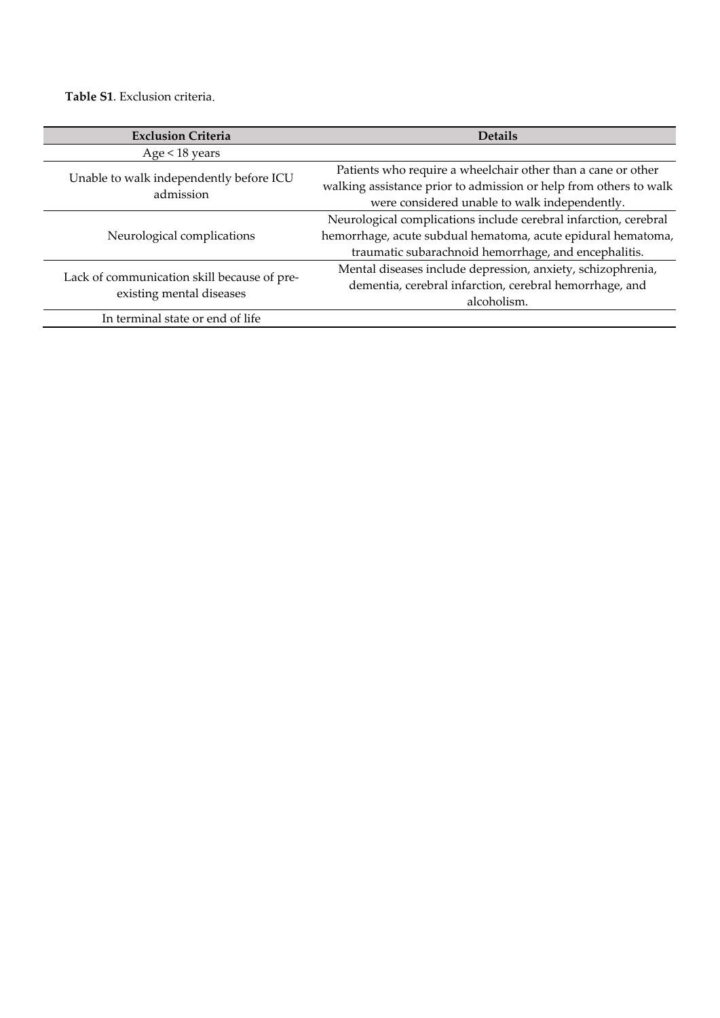**Table S1**. Exclusion criteria.

| <b>Exclusion Criteria</b>                            | <b>Details</b>                                                    |
|------------------------------------------------------|-------------------------------------------------------------------|
| Age < 18 years                                       |                                                                   |
|                                                      | Patients who require a wheelchair other than a cane or other      |
| Unable to walk independently before ICU<br>admission | walking assistance prior to admission or help from others to walk |
|                                                      | were considered unable to walk independently.                     |
|                                                      | Neurological complications include cerebral infarction, cerebral  |
| Neurological complications                           | hemorrhage, acute subdual hematoma, acute epidural hematoma,      |
|                                                      | traumatic subarachnoid hemorrhage, and encephalitis.              |
| Lack of communication skill because of pre-          | Mental diseases include depression, anxiety, schizophrenia,       |
| existing mental diseases                             | dementia, cerebral infarction, cerebral hemorrhage, and           |
|                                                      | alcoholism.                                                       |
| In terminal state or end of life                     |                                                                   |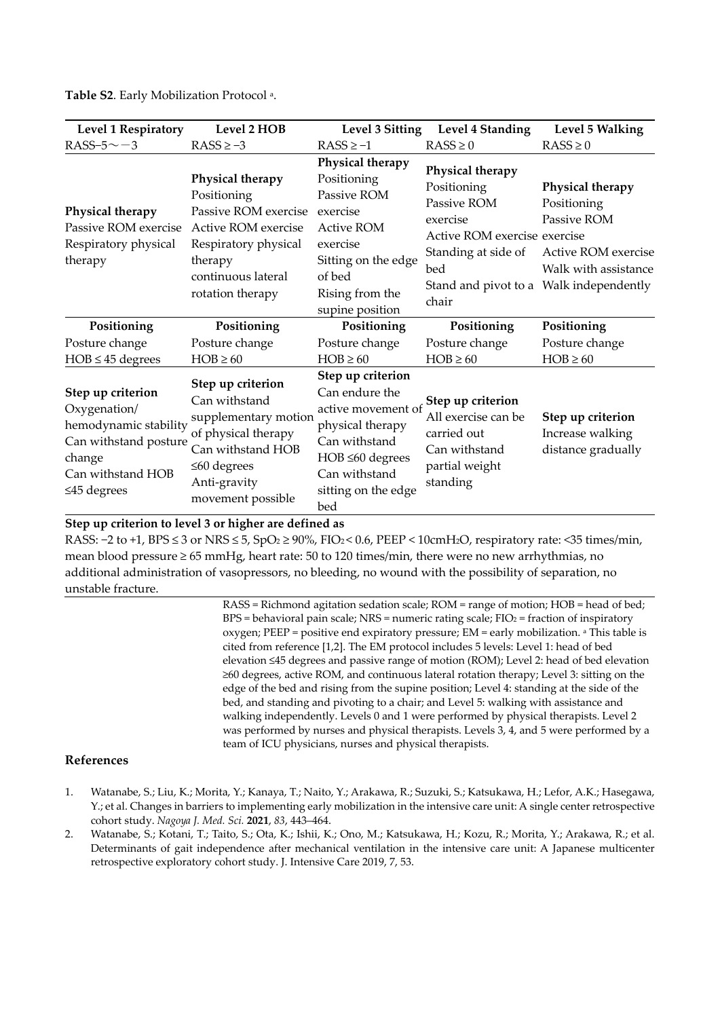| <b>Level 1 Respiratory</b>                                                                                                              | Level 2 HOB                                                                                                                                                      | Level 3 Sitting                                                                                                                                                        | Level 4 Standing                                                                                                                  | Level 5 Walking                                                                                                                          |
|-----------------------------------------------------------------------------------------------------------------------------------------|------------------------------------------------------------------------------------------------------------------------------------------------------------------|------------------------------------------------------------------------------------------------------------------------------------------------------------------------|-----------------------------------------------------------------------------------------------------------------------------------|------------------------------------------------------------------------------------------------------------------------------------------|
| RASS-5 $\sim$ -3                                                                                                                        | $RASS \ge -3$                                                                                                                                                    | $RASS \ge -1$                                                                                                                                                          | $RASS \geq 0$                                                                                                                     | $RASS \geq 0$                                                                                                                            |
| Physical therapy<br>Passive ROM exercise<br>Respiratory physical<br>therapy                                                             | Physical therapy<br>Positioning<br>Passive ROM exercise<br>Active ROM exercise<br>Respiratory physical<br>therapy<br>continuous lateral<br>rotation therapy      | Physical therapy<br>Positioning<br>Passive ROM<br>exercise<br><b>Active ROM</b><br>exercise<br>Sitting on the edge<br>of bed<br>Rising from the<br>supine position     | Physical therapy<br>Positioning<br>Passive ROM<br>exercise<br>Active ROM exercise exercise<br>Standing at side of<br>bed<br>chair | Physical therapy<br>Positioning<br>Passive ROM<br>Active ROM exercise<br>Walk with assistance<br>Stand and pivot to a Walk independently |
| Positioning                                                                                                                             | Positioning                                                                                                                                                      | Positioning                                                                                                                                                            | Positioning                                                                                                                       | Positioning                                                                                                                              |
| Posture change                                                                                                                          | Posture change                                                                                                                                                   | Posture change                                                                                                                                                         | Posture change                                                                                                                    | Posture change                                                                                                                           |
| $HOB \leq 45$ degrees                                                                                                                   | $HOB \ge 60$                                                                                                                                                     | $HOB \ge 60$                                                                                                                                                           | $HOB \ge 60$                                                                                                                      | $HOB \ge 60$                                                                                                                             |
| Step up criterion<br>Oxygenation/<br>hemodynamic stability<br>Can withstand posture<br>change<br>Can withstand HOB<br>$\leq$ 45 degrees | Step up criterion<br>Can withstand<br>supplementary motion<br>of physical therapy<br>Can withstand HOB<br>$\leq 60$ degrees<br>Anti-gravity<br>movement possible | Step up criterion<br>Can endure the<br>active movement of<br>physical therapy<br>Can withstand<br>$HOB \leq 60$ degrees<br>Can withstand<br>sitting on the edge<br>bed | Step up criterion<br>All exercise can be<br>carried out<br>Can withstand<br>partial weight<br>standing                            | Step up criterion<br>Increase walking<br>distance gradually                                                                              |

**Table S2**. Early Mobilization Protocol a.

## **Step up criterion to level 3 or higher are defined as**

RASS: −2 to +1, BPS ≤ 3 or NRS ≤ 5, SpO2 ≥ 90%, FIO2 < 0.6, PEEP < 10cmH2O, respiratory rate: <35 times/min, mean blood pressure ≥ 65 mmHg, heart rate: 50 to 120 times/min, there were no new arrhythmias, no additional administration of vasopressors, no bleeding, no wound with the possibility of separation, no unstable fracture.

> RASS = Richmond agitation sedation scale; ROM = range of motion; HOB = head of bed;  $BPS =$  behavioral pain scale; NRS = numeric rating scale; FIO<sub>2</sub> = fraction of inspiratory oxygen; PEEP = positive end expiratory pressure; EM = early mobilization. a This table is cited from reference [1,2]. The EM protocol includes 5 levels: Level 1: head of bed elevation ≤45 degrees and passive range of motion (ROM); Level 2: head of bed elevation ≥60 degrees, active ROM, and continuous lateral rotation therapy; Level 3: sitting on the edge of the bed and rising from the supine position; Level 4: standing at the side of the bed, and standing and pivoting to a chair; and Level 5: walking with assistance and walking independently. Levels 0 and 1 were performed by physical therapists. Level 2 was performed by nurses and physical therapists. Levels 3, 4, and 5 were performed by a team of ICU physicians, nurses and physical therapists.

## **References**

- 1. Watanabe, S.; Liu, K.; Morita, Y.; Kanaya, T.; Naito, Y.; Arakawa, R.; Suzuki, S.; Katsukawa, H.; Lefor, A.K.; Hasegawa, Y.; et al. Changes in barriers to implementing early mobilization in the intensive care unit: A single center retrospective cohort study. *Nagoya J. Med. Sci.* **2021**, *83*, 443–464.
- 2. Watanabe, S.; Kotani, T.; Taito, S.; Ota, K.; Ishii, K.; Ono, M.; Katsukawa, H.; Kozu, R.; Morita, Y.; Arakawa, R.; et al. Determinants of gait independence after mechanical ventilation in the intensive care unit: A Japanese multicenter retrospective exploratory cohort study. J. Intensive Care 2019, 7, 53.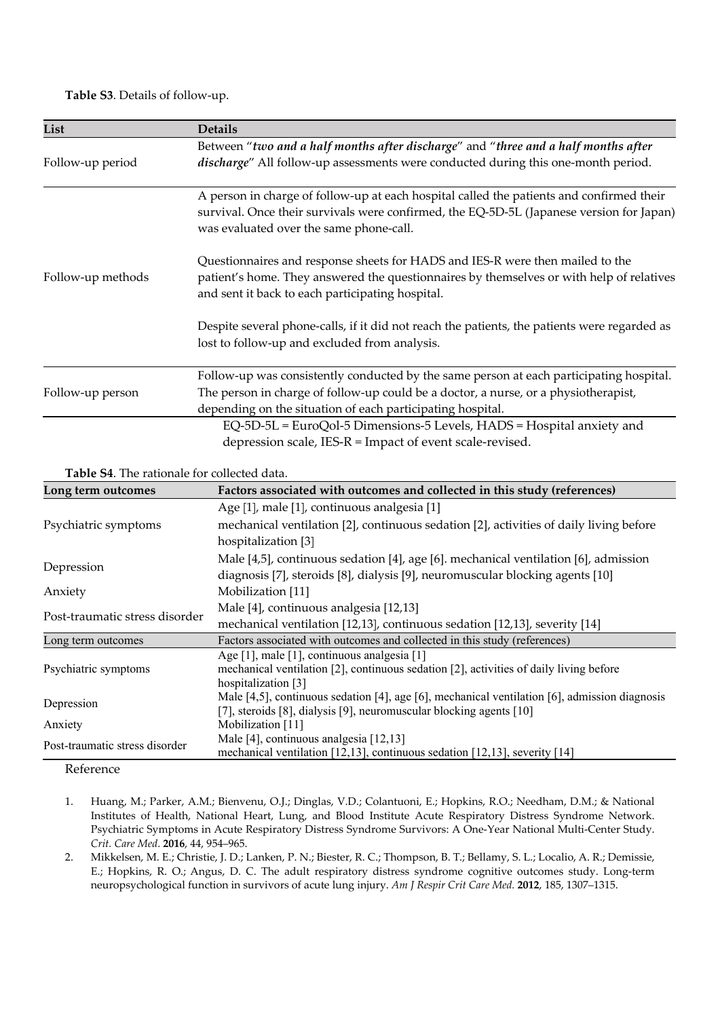**Table S3**. Details of follow-up.

| List              | <b>Details</b>                                                                                                                                                                                                                  |
|-------------------|---------------------------------------------------------------------------------------------------------------------------------------------------------------------------------------------------------------------------------|
|                   | Between "two and a half months after discharge" and "three and a half months after<br>discharge" All follow-up assessments were conducted during this one-month period.                                                         |
| Follow-up period  |                                                                                                                                                                                                                                 |
|                   | A person in charge of follow-up at each hospital called the patients and confirmed their<br>survival. Once their survivals were confirmed, the EQ-5D-5L (Japanese version for Japan)<br>was evaluated over the same phone-call. |
| Follow-up methods | Questionnaires and response sheets for HADS and IES-R were then mailed to the<br>patient's home. They answered the questionnaires by themselves or with help of relatives<br>and sent it back to each participating hospital.   |
|                   | Despite several phone-calls, if it did not reach the patients, the patients were regarded as<br>lost to follow-up and excluded from analysis.                                                                                   |
|                   | Follow-up was consistently conducted by the same person at each participating hospital.                                                                                                                                         |
| Follow-up person  | The person in charge of follow-up could be a doctor, a nurse, or a physiotherapist,                                                                                                                                             |
|                   | depending on the situation of each participating hospital.                                                                                                                                                                      |
|                   | EQ-5D-5L = EuroQol-5 Dimensions-5 Levels, HADS = Hospital anxiety and                                                                                                                                                           |
|                   | depression scale, IES-R = Impact of event scale-revised.                                                                                                                                                                        |

**Table S4**. The rationale for collected data.

| Long term outcomes             | Factors associated with outcomes and collected in this study (references)                     |
|--------------------------------|-----------------------------------------------------------------------------------------------|
|                                | Age [1], male [1], continuous analgesia [1]                                                   |
| Psychiatric symptoms           | mechanical ventilation [2], continuous sedation [2], activities of daily living before        |
|                                | hospitalization [3]                                                                           |
|                                | Male [4,5], continuous sedation [4], age [6]. mechanical ventilation [6], admission           |
| Depression                     | diagnosis [7], steroids [8], dialysis [9], neuromuscular blocking agents [10]                 |
| Anxiety                        | Mobilization [11]                                                                             |
|                                | Male [4], continuous analgesia [12,13]                                                        |
| Post-traumatic stress disorder | mechanical ventilation [12,13], continuous sedation [12,13], severity [14]                    |
| Long term outcomes             | Factors associated with outcomes and collected in this study (references)                     |
|                                | Age [1], male [1], continuous analgesia [1]                                                   |
| Psychiatric symptoms           | mechanical ventilation [2], continuous sedation [2], activities of daily living before        |
|                                | hospitalization [3]                                                                           |
|                                | Male [4,5], continuous sedation [4], age [6], mechanical ventilation [6], admission diagnosis |
| Depression                     | [7], steroids [8], dialysis [9], neuromuscular blocking agents [10]                           |
| Anxiety                        | Mobilization [11]                                                                             |
| Post-traumatic stress disorder | Male [4], continuous analgesia $[12,13]$                                                      |
|                                | mechanical ventilation [12,13], continuous sedation [12,13], severity [14]                    |

Reference

1. Huang, M.; Parker, A.M.; Bienvenu, O.J.; Dinglas, V.D.; Colantuoni, E.; Hopkins, R.O.; Needham, D.M.; & National Institutes of Health, National Heart, Lung, and Blood Institute Acute Respiratory Distress Syndrome Network. Psychiatric Symptoms in Acute Respiratory Distress Syndrome Survivors: A One-Year National Multi-Center Study. *Crit. Care Med*. **2016**, 44, 954–965.

2. Mikkelsen, M. E.; Christie, J. D.; Lanken, P. N.; Biester, R. C.; Thompson, B. T.; Bellamy, S. L.; Localio, A. R.; Demissie, E.; Hopkins, R. O.; Angus, D. C. The adult respiratory distress syndrome cognitive outcomes study. Long-term neuropsychological function in survivors of acute lung injury. *Am J Respir Crit Care Med.* **2012**, 185, 1307–1315.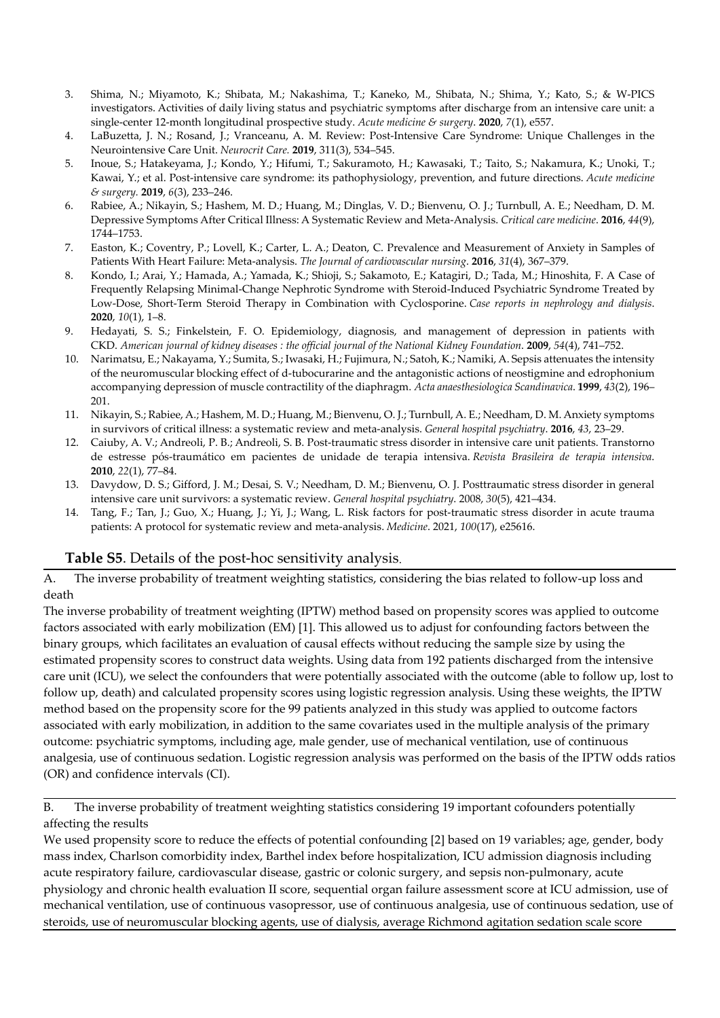- 3. Shima, N.; Miyamoto, K.; Shibata, M.; Nakashima, T.; Kaneko, M., Shibata, N.; Shima, Y.; Kato, S.; & W-PICS investigators. Activities of daily living status and psychiatric symptoms after discharge from an intensive care unit: a single-center 12-month longitudinal prospective study. *Acute medicine & surgery*. **2020**, *7*(1), e557.
- 4. LaBuzetta, J. N.; Rosand, J.; Vranceanu, A. M. Review: Post-Intensive Care Syndrome: Unique Challenges in the Neurointensive Care Unit. *Neurocrit Care.* **2019**, 311(3), 534–545.
- 5. Inoue, S.; Hatakeyama, J.; Kondo, Y.; Hifumi, T.; Sakuramoto, H.; Kawasaki, T.; Taito, S.; Nakamura, K.; Unoki, T.; Kawai, Y.; et al. Post-intensive care syndrome: its pathophysiology, prevention, and future directions. *Acute medicine & surgery.* **2019**, *6*(3), 233–246.
- 6. Rabiee, A.; Nikayin, S.; Hashem, M. D.; Huang, M.; Dinglas, V. D.; Bienvenu, O. J.; Turnbull, A. E.; Needham, D. M. Depressive Symptoms After Critical Illness: A Systematic Review and Meta-Analysis. *Critical care medicine*. **2016**, *44*(9), 1744–1753.
- 7. Easton, K.; Coventry, P.; Lovell, K.; Carter, L. A.; Deaton, C. Prevalence and Measurement of Anxiety in Samples of Patients With Heart Failure: Meta-analysis. *The Journal of cardiovascular nursing*. **2016**, *31*(4), 367–379.
- 8. Kondo, I.; Arai, Y.; Hamada, A.; Yamada, K.; Shioji, S.; Sakamoto, E.; Katagiri, D.; Tada, M.; Hinoshita, F. A Case of Frequently Relapsing Minimal-Change Nephrotic Syndrome with Steroid-Induced Psychiatric Syndrome Treated by Low-Dose, Short-Term Steroid Therapy in Combination with Cyclosporine. *Case reports in nephrology and dialysis*. **2020**, *10*(1), 1–8.
- 9. Hedayati, S. S.; Finkelstein, F. O. Epidemiology, diagnosis, and management of depression in patients with CKD. *American journal of kidney diseases : the official journal of the National Kidney Foundation*. **2009**, *54*(4), 741–752.
- 10. Narimatsu, E.; Nakayama, Y.; Sumita, S.; Iwasaki, H.; Fujimura, N.; Satoh, K.; Namiki, A. Sepsis attenuates the intensity of the neuromuscular blocking effect of d-tubocurarine and the antagonistic actions of neostigmine and edrophonium accompanying depression of muscle contractility of the diaphragm. *Acta anaesthesiologica Scandinavica*. **1999**, *43*(2), 196– 201.
- 11. Nikayin, S.; Rabiee, A.; Hashem, M. D.; Huang, M.; Bienvenu, O. J.; Turnbull, A. E.; Needham, D. M. Anxiety symptoms in survivors of critical illness: a systematic review and meta-analysis. *General hospital psychiatry*. **2016**, *43*, 23–29.
- 12. Caiuby, A. V.; Andreoli, P. B.; Andreoli, S. B. Post-traumatic stress disorder in intensive care unit patients. Transtorno de estresse pós-traumático em pacientes de unidade de terapia intensiva. *Revista Brasileira de terapia intensiva*. **2010**, *22*(1), 77–84.
- 13. Davydow, D. S.; Gifford, J. M.; Desai, S. V.; Needham, D. M.; Bienvenu, O. J. Posttraumatic stress disorder in general intensive care unit survivors: a systematic review. *General hospital psychiatry*. 2008, *30*(5), 421–434.
- 14. Tang, F.; Tan, J.; Guo, X.; Huang, J.; Yi, J.; Wang, L. Risk factors for post-traumatic stress disorder in acute trauma patients: A protocol for systematic review and meta-analysis. *Medicine*. 2021, *100*(17), e25616.

## **Table S5**. Details of the post-hoc sensitivity analysis.

A. The inverse probability of treatment weighting statistics, considering the bias related to follow-up loss and death

The inverse probability of treatment weighting (IPTW) method based on propensity scores was applied to outcome factors associated with early mobilization (EM) [1]. This allowed us to adjust for confounding factors between the binary groups, which facilitates an evaluation of causal effects without reducing the sample size by using the estimated propensity scores to construct data weights. Using data from 192 patients discharged from the intensive care unit (ICU), we select the confounders that were potentially associated with the outcome (able to follow up, lost to follow up, death) and calculated propensity scores using logistic regression analysis. Using these weights, the IPTW method based on the propensity score for the 99 patients analyzed in this study was applied to outcome factors associated with early mobilization, in addition to the same covariates used in the multiple analysis of the primary outcome: psychiatric symptoms, including age, male gender, use of mechanical ventilation, use of continuous analgesia, use of continuous sedation. Logistic regression analysis was performed on the basis of the IPTW odds ratios (OR) and confidence intervals (CI).

B. The inverse probability of treatment weighting statistics considering 19 important cofounders potentially affecting the results

We used propensity score to reduce the effects of potential confounding [2] based on 19 variables; age, gender, body mass index, Charlson comorbidity index, Barthel index before hospitalization, ICU admission diagnosis including acute respiratory failure, cardiovascular disease, gastric or colonic surgery, and sepsis non-pulmonary, acute physiology and chronic health evaluation II score, sequential organ failure assessment score at ICU admission, use of mechanical ventilation, use of continuous vasopressor, use of continuous analgesia, use of continuous sedation, use of steroids, use of neuromuscular blocking agents, use of dialysis, average Richmond agitation sedation scale score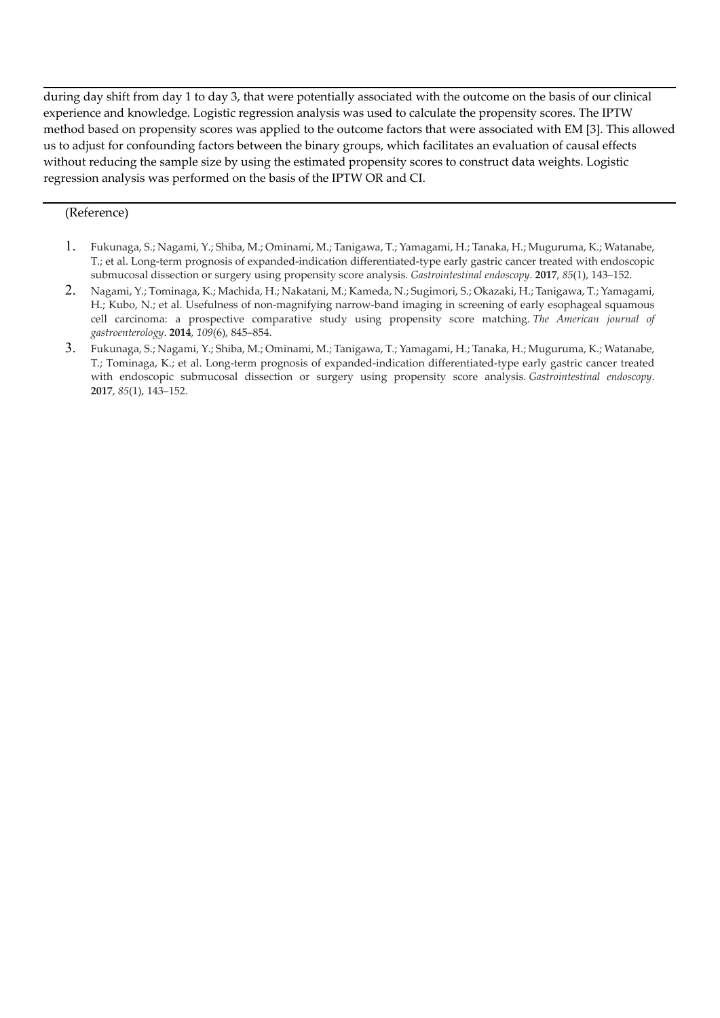during day shift from day 1 to day 3, that were potentially associated with the outcome on the basis of our clinical experience and knowledge. Logistic regression analysis was used to calculate the propensity scores. The IPTW method based on propensity scores was applied to the outcome factors that were associated with EM [3]. This allowed us to adjust for confounding factors between the binary groups, which facilitates an evaluation of causal effects without reducing the sample size by using the estimated propensity scores to construct data weights. Logistic regression analysis was performed on the basis of the IPTW OR and CI.

## (Reference)

- 1. Fukunaga, S.; Nagami, Y.; Shiba, M.; Ominami, M.; Tanigawa, T.; Yamagami, H.; Tanaka, H.; Muguruma, K.; Watanabe, T.; et al. Long-term prognosis of expanded-indication differentiated-type early gastric cancer treated with endoscopic submucosal dissection or surgery using propensity score analysis. *Gastrointestinal endoscopy*. **2017**, *85*(1), 143–152.
- 2. Nagami, Y.; Tominaga, K.; Machida, H.; Nakatani, M.; Kameda, N.; Sugimori, S.; Okazaki, H.; Tanigawa, T.; Yamagami, H.; Kubo, N.; et al. Usefulness of non-magnifying narrow-band imaging in screening of early esophageal squamous cell carcinoma: a prospective comparative study using propensity score matching. *The American journal of gastroenterology*. **2014**, *109*(6), 845–854.
- 3. Fukunaga, S.; Nagami, Y.; Shiba, M.; Ominami, M.; Tanigawa, T.; Yamagami, H.; Tanaka, H.; Muguruma, K.; Watanabe, T.; Tominaga, K.; et al. Long-term prognosis of expanded-indication differentiated-type early gastric cancer treated with endoscopic submucosal dissection or surgery using propensity score analysis. *Gastrointestinal endoscopy*. **2017**, *85*(1), 143–152.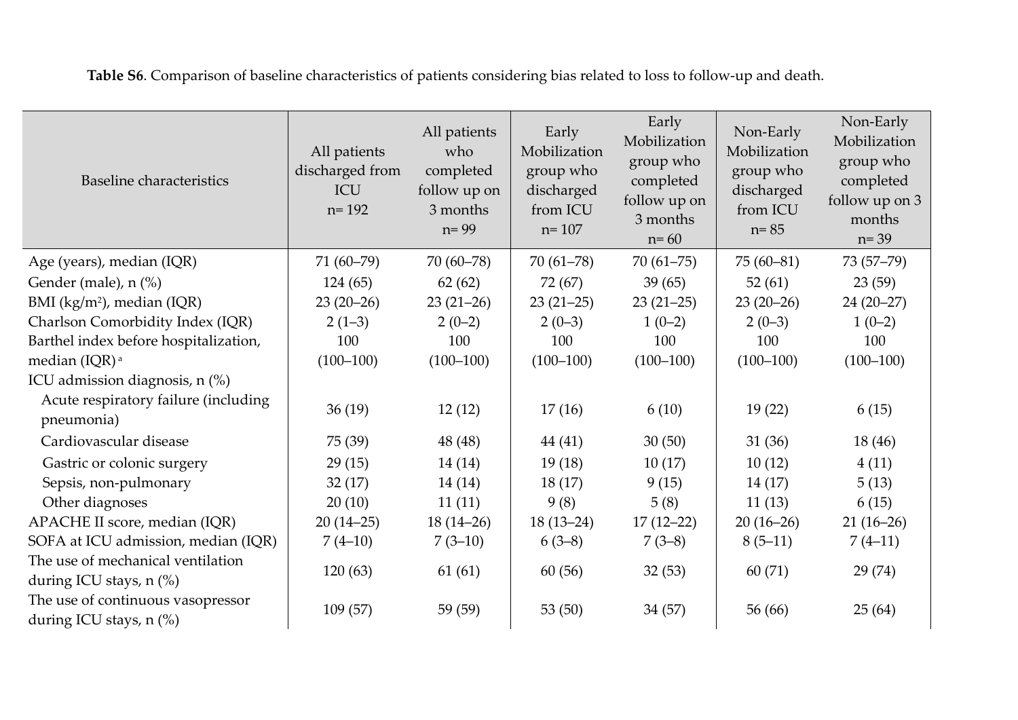| <b>Baseline</b> characteristics                                                        | All patients<br>discharged from<br>ICU<br>$n = 192$ | All patients<br>who<br>completed<br>follow up on<br>3 months<br>$n = 99$ | Early<br>Mobilization<br>group who<br>discharged<br>from ICU<br>$n = 107$ | Early<br>Mobilization<br>group who<br>completed<br>follow up on<br>3 months<br>$n = 60$ | Non-Early<br>Mobilization<br>group who<br>discharged<br>from ICU<br>$n = 85$ | Non-Early<br>Mobilization<br>group who<br>completed<br>follow up on 3<br>months<br>$n = 39$ |
|----------------------------------------------------------------------------------------|-----------------------------------------------------|--------------------------------------------------------------------------|---------------------------------------------------------------------------|-----------------------------------------------------------------------------------------|------------------------------------------------------------------------------|---------------------------------------------------------------------------------------------|
| Age (years), median (IQR)                                                              | $71(60-79)$                                         | $70(60-78)$                                                              | $70(61-78)$                                                               | $70(61 - 75)$                                                                           | $75(60-81)$                                                                  | 73 (57-79)                                                                                  |
| Gender (male), n (%)                                                                   | 124(65)                                             | 62(62)                                                                   | 72 (67)                                                                   | 39(65)                                                                                  | 52(61)                                                                       | 23(59)                                                                                      |
| BMI (kg/m <sup>2</sup> ), median (IQR)                                                 | $23(20-26)$                                         | $23(21-26)$                                                              | $23(21-25)$                                                               | $23(21-25)$                                                                             | $23(20-26)$                                                                  | $24(20-27)$                                                                                 |
| Charlson Comorbidity Index (IQR)                                                       | $2(1-3)$                                            | $2(0-2)$                                                                 | $2(0-3)$                                                                  | $1(0-2)$                                                                                | $2(0-3)$                                                                     | $1(0-2)$                                                                                    |
| Barthel index before hospitalization,                                                  | 100                                                 | 100                                                                      | 100                                                                       | 100                                                                                     | 100                                                                          | 100                                                                                         |
| median (IQR) <sup>a</sup>                                                              | $(100-100)$                                         | $(100-100)$                                                              | $(100-100)$                                                               | $(100-100)$                                                                             | $(100-100)$                                                                  | $(100-100)$                                                                                 |
| ICU admission diagnosis, $n$ (%)<br>Acute respiratory failure (including<br>pneumonia) | 36(19)                                              | 12(12)                                                                   | 17(16)                                                                    | 6(10)                                                                                   | 19(22)                                                                       | 6(15)                                                                                       |
| Cardiovascular disease                                                                 | 75 (39)                                             | 48 (48)                                                                  | 44(41)                                                                    | 30(50)                                                                                  | 31(36)                                                                       | 18 (46)                                                                                     |
| Gastric or colonic surgery                                                             | 29(15)                                              | 14(14)                                                                   | 19(18)                                                                    | 10(17)                                                                                  | 10(12)                                                                       | 4(11)                                                                                       |
| Sepsis, non-pulmonary                                                                  | 32(17)                                              | 14(14)                                                                   | 18(17)                                                                    | 9(15)                                                                                   | 14(17)                                                                       | 5(13)                                                                                       |
| Other diagnoses                                                                        | 20(10)                                              | 11(11)                                                                   | 9(8)                                                                      | 5(8)                                                                                    | 11(13)                                                                       | 6(15)                                                                                       |
| APACHE II score, median (IQR)                                                          | $20(14-25)$                                         | $18(14-26)$                                                              | $18(13-24)$                                                               | $17(12-22)$                                                                             | $20(16-26)$                                                                  | $21(16-26)$                                                                                 |
| SOFA at ICU admission, median (IQR)                                                    | $7(4-10)$                                           | $7(3-10)$                                                                | $6(3-8)$                                                                  | $7(3-8)$                                                                                | $8(5-11)$                                                                    | $7(4-11)$                                                                                   |
| The use of mechanical ventilation<br>during ICU stays, n (%)                           | 120(63)                                             | 61(61)                                                                   | 60(56)                                                                    | 32(53)                                                                                  | 60(71)                                                                       | 29(74)                                                                                      |
| The use of continuous vasopressor<br>during ICU stays, n (%)                           | 109(57)                                             | 59 (59)                                                                  | 53 $(50)$                                                                 | 34(57)                                                                                  | 56 (66)                                                                      | 25(64)                                                                                      |

**Table S6**. Comparison of baseline characteristics of patients considering bias related to loss to follow-up and death.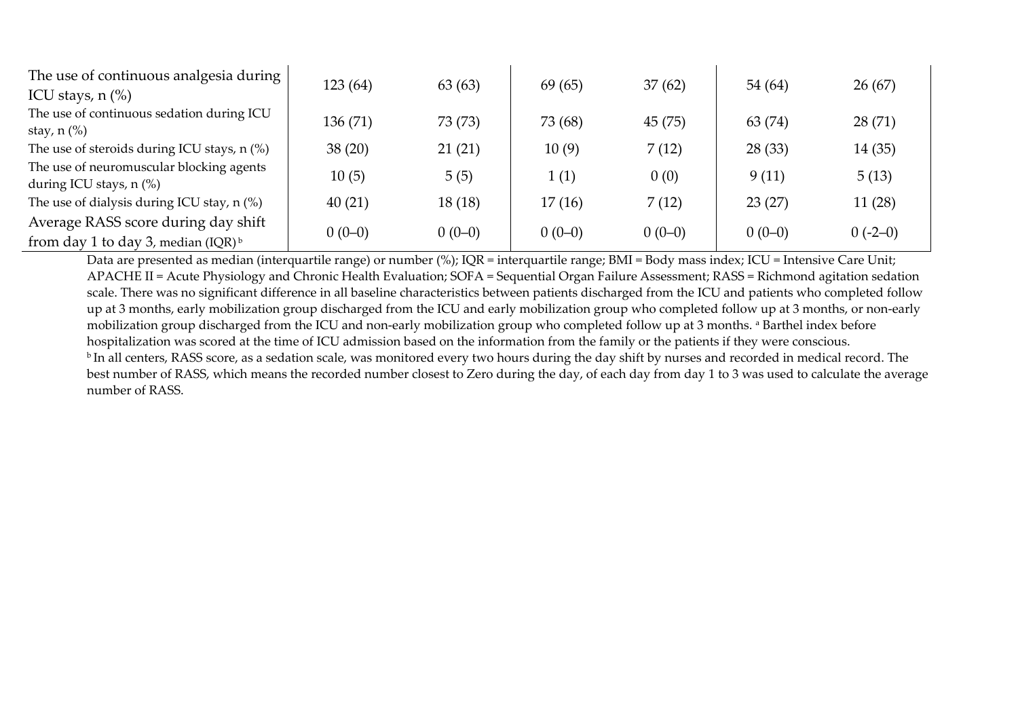| The use of continuous analgesia during      |          |          |          |          |          |           |
|---------------------------------------------|----------|----------|----------|----------|----------|-----------|
| ICU stays, $n$ $%$                          | 123 (64) | 63(63)   | 69(65)   | 37(62)   | 54 (64)  | 26(67)    |
| The use of continuous sedation during ICU   | 136 (71) | 73 (73)  | 73 (68)  | 45(75)   | 63 (74)  | 28(71)    |
| stay, $n$ $%$                               |          |          |          |          |          |           |
| The use of steroids during ICU stays, n (%) | 38(20)   | 21(21)   | 10(9)    | 7(12)    | 28(33)   | 14(35)    |
| The use of neuromuscular blocking agents    | 10(5)    | 5(5)     | 1(1)     | 0(0)     | 9(11)    | 5(13)     |
| during ICU stays, $n$ (%)                   |          |          |          |          |          |           |
| The use of dialysis during ICU stay, n (%)  | 40(21)   | 18(18)   | 17(16)   | 7(12)    | 23(27)   | 11(28)    |
| Average RASS score during day shift         |          | $0(0-0)$ |          | $0(0-0)$ |          |           |
| from day 1 to day 3, median $(IQR)^{b}$     | $0(0-0)$ |          | $0(0-0)$ |          | $0(0-0)$ | $0(-2-0)$ |

Data are presented as median (interquartile range) or number (%); IQR = interquartile range; BMI = Body mass index; ICU = Intensive Care Unit; APACHE II = Acute Physiology and Chronic Health Evaluation; SOFA = Sequential Organ Failure Assessment; RASS = Richmond agitation sedation scale. There was no significant difference in all baseline characteristics between patients discharged from the ICU and patients who completed follow up at 3 months, early mobilization group discharged from the ICU and early mobilization group who completed follow up at 3 months, or non-early mobilization group discharged from the ICU and non-early mobilization group who completed follow up at 3 months. <sup>a</sup> Barthel index before hospitalization was scored at the time of ICU admission based on the information from the family or the patients if they were conscious. <sup>b</sup>In all centers, RASS score, as a sedation scale, was monitored every two hours during the day shift by nurses and recorded in medical record. The best number of RASS, which means the recorded number closest to Zero during the day, of each day from day 1 to 3 was used to calculate the average number of RASS.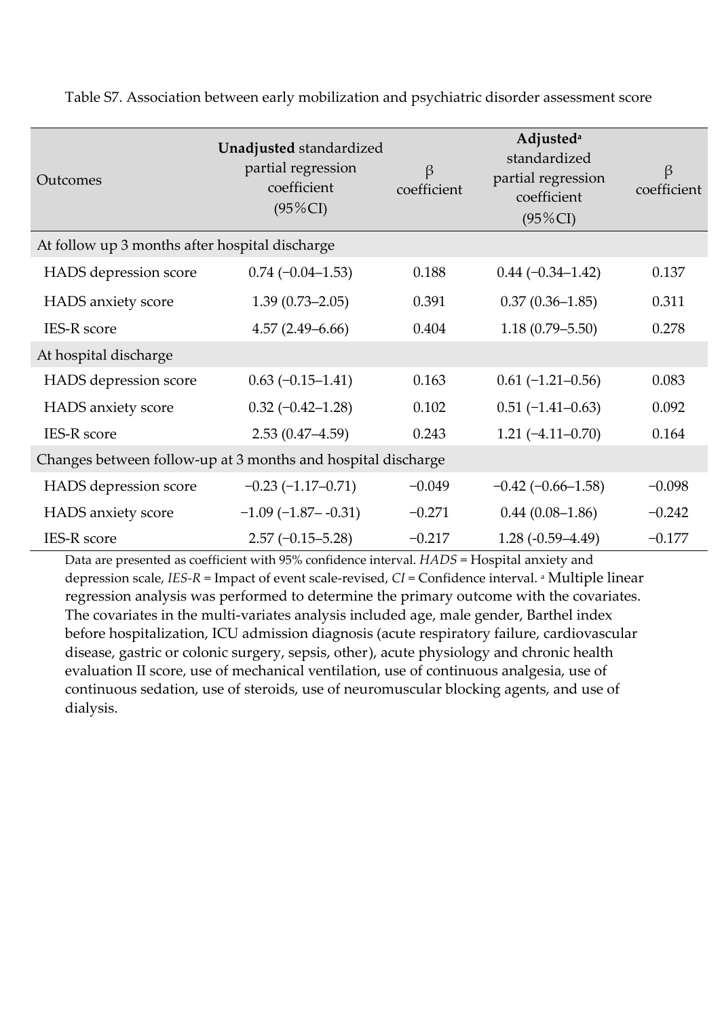| Outcomes                                                     | Unadjusted standardized<br>partial regression<br>coefficient<br>$(95\%CI)$ | $\beta$<br>coefficient | <b>Adjusted</b> <sup>a</sup><br>standardized<br>partial regression<br>coefficient<br>$(95\%CI)$ | $\beta$<br>coefficient |  |
|--------------------------------------------------------------|----------------------------------------------------------------------------|------------------------|-------------------------------------------------------------------------------------------------|------------------------|--|
| At follow up 3 months after hospital discharge               |                                                                            |                        |                                                                                                 |                        |  |
| HADS depression score                                        | $0.74 (-0.04 - 1.53)$                                                      | 0.188                  | $0.44 (-0.34 - 1.42)$                                                                           | 0.137                  |  |
| HADS anxiety score                                           | $1.39(0.73 - 2.05)$                                                        | 0.391                  | $0.37(0.36 - 1.85)$                                                                             | 0.311                  |  |
| <b>IES-R</b> score                                           | $4.57(2.49 - 6.66)$                                                        | 0.404                  | $1.18(0.79 - 5.50)$                                                                             | 0.278                  |  |
| At hospital discharge                                        |                                                                            |                        |                                                                                                 |                        |  |
| HADS depression score                                        | $0.63(-0.15-1.41)$                                                         | 0.163                  | $0.61(-1.21-0.56)$                                                                              | 0.083                  |  |
| HADS anxiety score                                           | $0.32 (-0.42 - 1.28)$                                                      | 0.102                  | $0.51(-1.41-0.63)$                                                                              | 0.092                  |  |
| <b>IES-R</b> score                                           | $2.53(0.47 - 4.59)$                                                        | 0.243                  | $1.21 (-4.11 - 0.70)$                                                                           | 0.164                  |  |
| Changes between follow-up at 3 months and hospital discharge |                                                                            |                        |                                                                                                 |                        |  |
| HADS depression score                                        | $-0.23(-1.17-0.71)$                                                        | $-0.049$               | $-0.42$ ( $-0.66 - 1.58$ )                                                                      | $-0.098$               |  |
| HADS anxiety score                                           | $-1.09$ ( $-1.87 - -0.31$ )                                                | $-0.271$               | $0.44(0.08-1.86)$                                                                               | $-0.242$               |  |
| <b>IES-R</b> score                                           | $2.57(-0.15-5.28)$                                                         | $-0.217$               | $1.28(-0.59-4.49)$                                                                              | $-0.177$               |  |

Table S7. Association between early mobilization and psychiatric disorder assessment score

Data are presented as coefficient with 95% confidence interval. *HADS* = Hospital anxiety and depression scale, *IES-R* = Impact of event scale-revised, *CI* = Confidence interval. <sup>a</sup> Multiple linear regression analysis was performed to determine the primary outcome with the covariates. The covariates in the multi-variates analysis included age, male gender, Barthel index before hospitalization, ICU admission diagnosis (acute respiratory failure, cardiovascular disease, gastric or colonic surgery, sepsis, other), acute physiology and chronic health evaluation II score, use of mechanical ventilation, use of continuous analgesia, use of continuous sedation, use of steroids, use of neuromuscular blocking agents, and use of dialysis.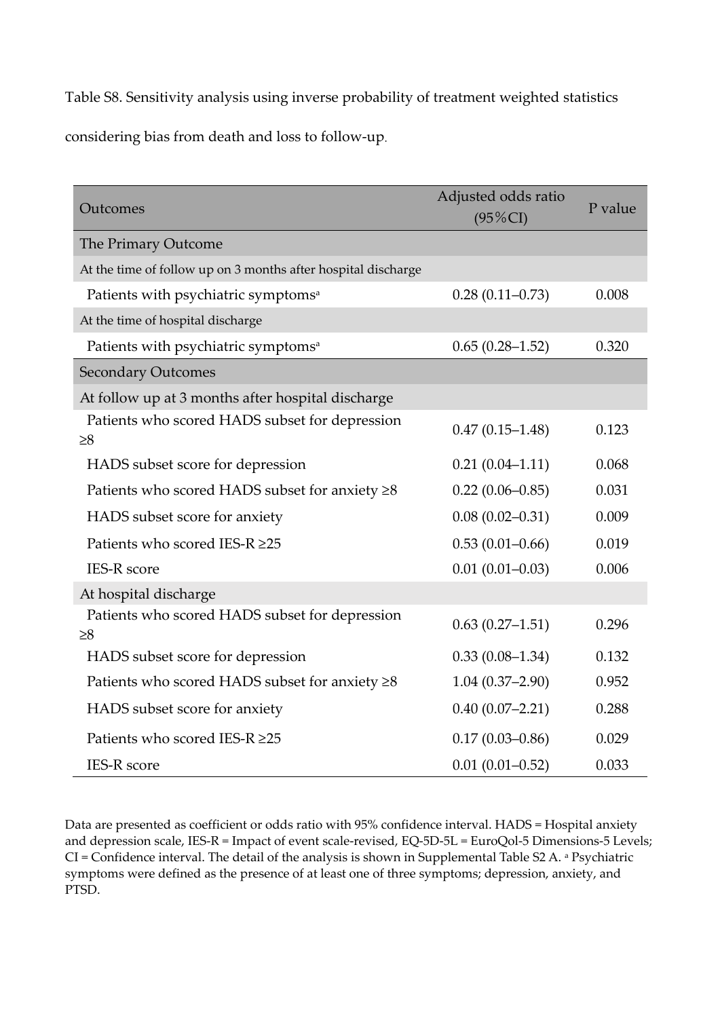Table S8. Sensitivity analysis using inverse probability of treatment weighted statistics considering bias from death and loss to follow-up.

| Outcomes                                                      | Adjusted odds ratio<br>$(95\%CI)$ | P value |
|---------------------------------------------------------------|-----------------------------------|---------|
| The Primary Outcome                                           |                                   |         |
| At the time of follow up on 3 months after hospital discharge |                                   |         |
| Patients with psychiatric symptoms <sup>a</sup>               | $0.28(0.11-0.73)$                 | 0.008   |
| At the time of hospital discharge                             |                                   |         |
| Patients with psychiatric symptoms <sup>a</sup>               | $0.65(0.28-1.52)$                 | 0.320   |
| <b>Secondary Outcomes</b>                                     |                                   |         |
| At follow up at 3 months after hospital discharge             |                                   |         |
| Patients who scored HADS subset for depression<br>$\geq 8$    | $0.47(0.15-1.48)$                 | 0.123   |
| HADS subset score for depression                              | $0.21(0.04 - 1.11)$               | 0.068   |
| Patients who scored HADS subset for anxiety $\geq 8$          | $0.22(0.06 - 0.85)$               | 0.031   |
| HADS subset score for anxiety                                 | $0.08(0.02 - 0.31)$               | 0.009   |
| Patients who scored IES-R ≥25                                 | $0.53(0.01-0.66)$                 | 0.019   |
| <b>IES-R</b> score                                            | $0.01(0.01 - 0.03)$               | 0.006   |
| At hospital discharge                                         |                                   |         |
| Patients who scored HADS subset for depression<br>$\geq 8$    | $0.63(0.27-1.51)$                 | 0.296   |
| HADS subset score for depression                              | $0.33(0.08-1.34)$                 | 0.132   |
| Patients who scored HADS subset for anxiety $\geq 8$          | $1.04(0.37-2.90)$                 | 0.952   |
| HADS subset score for anxiety                                 | $0.40(0.07 - 2.21)$               | 0.288   |
| Patients who scored IES-R ≥25                                 | $0.17(0.03 - 0.86)$               | 0.029   |
| <b>IES-R</b> score                                            | $0.01(0.01 - 0.52)$               | 0.033   |

Data are presented as coefficient or odds ratio with 95% confidence interval. HADS = Hospital anxiety and depression scale, IES-R = Impact of event scale-revised, EQ-5D-5L = EuroQol-5 Dimensions-5 Levels; CI = Confidence interval. The detail of the analysis is shown in Supplemental Table S2 A. a Psychiatric symptoms were defined as the presence of at least one of three symptoms; depression, anxiety, and PTSD.